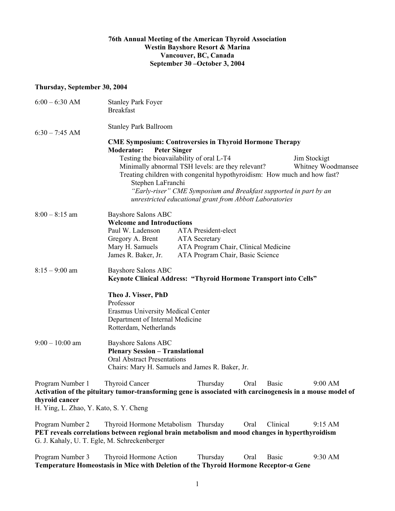### **76th Annual Meeting of the American Thyroid Association Westin Bayshore Resort & Marina Vancouver, BC, Canada September 30 –October 3, 2004**

#### **Thursday, September 30, 2004**

| $6:00 - 6:30$ AM                       | <b>Stanley Park Foyer</b><br><b>Breakfast</b>                                                                                                                                                                                                                                                                                                                        |
|----------------------------------------|----------------------------------------------------------------------------------------------------------------------------------------------------------------------------------------------------------------------------------------------------------------------------------------------------------------------------------------------------------------------|
| $6:30 - 7:45$ AM                       | <b>Stanley Park Ballroom</b>                                                                                                                                                                                                                                                                                                                                         |
|                                        | <b>CME Symposium: Controversies in Thyroid Hormone Therapy</b>                                                                                                                                                                                                                                                                                                       |
|                                        | <b>Peter Singer</b><br><b>Moderator:</b>                                                                                                                                                                                                                                                                                                                             |
|                                        | Testing the bioavailability of oral L-T4<br>Jim Stockigt<br>Minimally abnormal TSH levels: are they relevant?<br>Whitney Woodmansee<br>Treating children with congenital hypothyroidism: How much and how fast?<br>Stephen LaFranchi<br>"Early-riser" CME Symposium and Breakfast supported in part by an<br>unrestricted educational grant from Abbott Laboratories |
| $8:00 - 8:15$ am                       | <b>Bayshore Salons ABC</b>                                                                                                                                                                                                                                                                                                                                           |
|                                        | <b>Welcome and Introductions</b><br>Paul W. Ladenson<br><b>ATA</b> President-elect                                                                                                                                                                                                                                                                                   |
|                                        | Gregory A. Brent<br><b>ATA</b> Secretary                                                                                                                                                                                                                                                                                                                             |
|                                        | ATA Program Chair, Clinical Medicine<br>Mary H. Samuels                                                                                                                                                                                                                                                                                                              |
|                                        | James R. Baker, Jr.<br>ATA Program Chair, Basic Science                                                                                                                                                                                                                                                                                                              |
| $8:15 - 9:00$ am                       | <b>Bayshore Salons ABC</b><br><b>Keynote Clinical Address: "Thyroid Hormone Transport into Cells"</b>                                                                                                                                                                                                                                                                |
|                                        | Theo J. Visser, PhD                                                                                                                                                                                                                                                                                                                                                  |
|                                        | Professor                                                                                                                                                                                                                                                                                                                                                            |
|                                        | <b>Erasmus University Medical Center</b>                                                                                                                                                                                                                                                                                                                             |
|                                        | Department of Internal Medicine<br>Rotterdam, Netherlands                                                                                                                                                                                                                                                                                                            |
| $9:00 - 10:00$ am                      | <b>Bayshore Salons ABC</b><br><b>Plenary Session - Translational</b><br><b>Oral Abstract Presentations</b><br>Chairs: Mary H. Samuels and James R. Baker, Jr.                                                                                                                                                                                                        |
|                                        |                                                                                                                                                                                                                                                                                                                                                                      |
| Program Number 1<br>thyroid cancer     | <b>Thyroid Cancer</b><br>9:00 AM<br>Thursday<br>Oral<br><b>Basic</b><br>Activation of the pituitary tumor-transforming gene is associated with carcinogenesis in a mouse model of                                                                                                                                                                                    |
| H. Ying, L. Zhao, Y. Kato, S. Y. Cheng |                                                                                                                                                                                                                                                                                                                                                                      |
| Program Number 2                       | Thyroid Hormone Metabolism Thursday<br>Clinical<br>Oral<br>9:15 AM<br>PET reveals correlations between regional brain metabolism and mood changes in hyperthyroidism                                                                                                                                                                                                 |

G. J. Kahaly, U. T. Egle, M. Schreckenberger

Program Number 3 Thyroid Hormone Action Thursday Oral Basic 9:30 AM **Temperature Homeostasis in Mice with Deletion of the Thyroid Hormone Receptor-α Gene**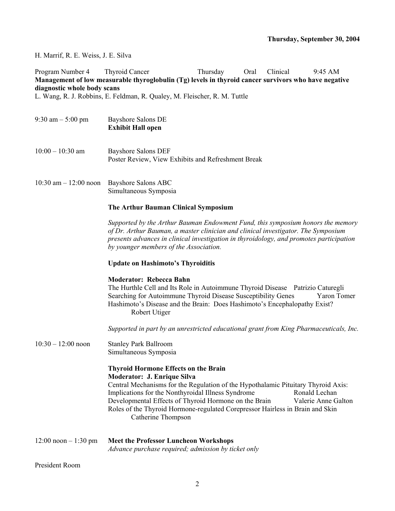H. Marrif, R. E. Weiss, J. E. Silva

Program Number 4 Thyroid Cancer Thursday Oral Clinical 9:45 AM **Management of low measurable thyroglobulin (Tg) levels in thyroid cancer survivors who have negative diagnostic whole body scans** 

L. Wang, R. J. Robbins, E. Feldman, R. Qualey, M. Fleischer, R. M. Tuttle

- 9:30 am 5:00 pm Bayshore Salons DE **Exhibit Hall open**  10:00 – 10:30 am Bayshore Salons DEF Poster Review, View Exhibits and Refreshment Break
- 10:30 am 12:00 noon Bayshore Salons ABC Simultaneous Symposia

#### **The Arthur Bauman Clinical Symposium**

*Supported by the Arthur Bauman Endowment Fund, this symposium honors the memory of Dr. Arthur Bauman, a master clinician and clinical investigator. The Symposium presents advances in clinical investigation in thyroidology, and promotes participation by younger members of the Association.* 

#### **Update on Hashimoto's Thyroiditis**

#### **Moderator: Rebecca Bahn**

The Hurthle Cell and Its Role in Autoimmune Thyroid Disease Patrizio Caturegli Searching for Autoimmune Thyroid Disease Susceptibility Genes Yaron Tomer Hashimoto's Disease and the Brain: Does Hashimoto's Encephalopathy Exist? Robert Utiger

*Supported in part by an unrestricted educational grant from King Pharmaceuticals, Inc.* 

10:30 – 12:00 noon Stanley Park Ballroom Simultaneous Symposia

### **Thyroid Hormone Effects on the Brain**

#### **Moderator: J. Enrique Silva**

Central Mechanisms for the Regulation of the Hypothalamic Pituitary Thyroid Axis: Implications for the Nonthyroidal Illness Syndrome Ronald Lechan Developmental Effects of Thyroid Hormone on the Brain Valerie Anne Galton Roles of the Thyroid Hormone-regulated Corepressor Hairless in Brain and Skin Catherine Thompson

12:00 noon – 1:30 pm **Meet the Professor Luncheon Workshops**  *Advance purchase required; admission by ticket only*

President Room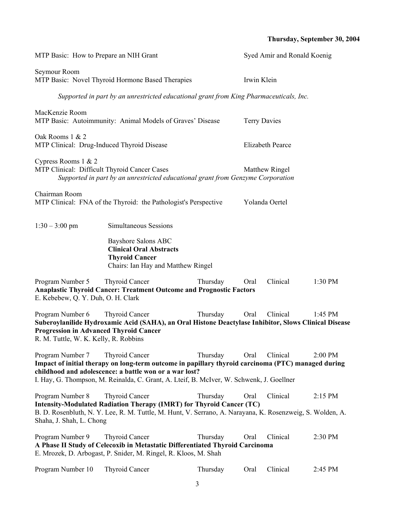## **Thursday, September 30, 2004**

| MTP Basic: How to Prepare an NIH Grant                                                                     |                                                                                                                                                                                                                                                                                   |          | Syed Amir and Ronald Koenig |                  |           |
|------------------------------------------------------------------------------------------------------------|-----------------------------------------------------------------------------------------------------------------------------------------------------------------------------------------------------------------------------------------------------------------------------------|----------|-----------------------------|------------------|-----------|
| Seymour Room<br>MTP Basic: Novel Thyroid Hormone Based Therapies                                           |                                                                                                                                                                                                                                                                                   |          | Irwin Klein                 |                  |           |
|                                                                                                            | Supported in part by an unrestricted educational grant from King Pharmaceuticals, Inc.                                                                                                                                                                                            |          |                             |                  |           |
| MacKenzie Room                                                                                             | MTP Basic: Autoimmunity: Animal Models of Graves' Disease                                                                                                                                                                                                                         |          | <b>Terry Davies</b>         |                  |           |
| Oak Rooms 1 & 2<br>MTP Clinical: Drug-Induced Thyroid Disease                                              |                                                                                                                                                                                                                                                                                   |          |                             | Elizabeth Pearce |           |
| Cypress Rooms 1 & 2<br>MTP Clinical: Difficult Thyroid Cancer Cases                                        | Supported in part by an unrestricted educational grant from Genzyme Corporation                                                                                                                                                                                                   |          |                             | Matthew Ringel   |           |
| Chairman Room                                                                                              | MTP Clinical: FNA of the Thyroid: the Pathologist's Perspective                                                                                                                                                                                                                   |          |                             | Yolanda Oertel   |           |
| $1:30 - 3:00$ pm                                                                                           | <b>Simultaneous Sessions</b>                                                                                                                                                                                                                                                      |          |                             |                  |           |
|                                                                                                            | <b>Bayshore Salons ABC</b><br><b>Clinical Oral Abstracts</b><br><b>Thyroid Cancer</b><br>Chairs: Ian Hay and Matthew Ringel                                                                                                                                                       |          |                             |                  |           |
| Program Number 5<br>E. Kebebew, Q. Y. Duh, O. H. Clark                                                     | Thyroid Cancer<br><b>Anaplastic Thyroid Cancer: Treatment Outcome and Prognostic Factors</b>                                                                                                                                                                                      | Thursday | Oral                        | Clinical         | 1:30 PM   |
| Program Number 6<br><b>Progression in Advanced Thyroid Cancer</b><br>R. M. Tuttle, W. K. Kelly, R. Robbins | <b>Thyroid Cancer</b><br>Suberoylanilide Hydroxamic Acid (SAHA), an Oral Histone Deactylase Inhibitor, Slows Clinical Disease                                                                                                                                                     | Thursday | Oral                        | Clinical         | 1:45 PM   |
| Program Number 7                                                                                           | <b>Thyroid Cancer</b><br>Impact of initial therapy on long-term outcome in papillary thyroid carcinoma (PTC) managed during<br>childhood and adolescence: a battle won or a war lost?<br>I. Hay, G. Thompson, M. Reinalda, C. Grant, A. Lteif, B. McIver, W. Schwenk, J. Goellner | Thursday | Oral                        | Clinical         | 2:00 PM   |
| Program Number 8<br>Shaha, J. Shah, L. Chong                                                               | <b>Thyroid Cancer</b><br>Intensity-Modulated Radiation Therapy (IMRT) for Thyroid Cancer (TC)<br>B. D. Rosenbluth, N. Y. Lee, R. M. Tuttle, M. Hunt, V. Serrano, A. Narayana, K. Rosenzweig, S. Wolden, A.                                                                        | Thursday | Oral                        | Clinical         | $2:15$ PM |
| Program Number 9                                                                                           | <b>Thyroid Cancer</b><br>A Phase II Study of Celecoxib in Metastatic Differentiated Thyroid Carcinoma<br>E. Mrozek, D. Arbogast, P. Snider, M. Ringel, R. Kloos, M. Shah                                                                                                          | Thursday | Oral                        | Clinical         | 2:30 PM   |
| Program Number 10                                                                                          | <b>Thyroid Cancer</b>                                                                                                                                                                                                                                                             | Thursday | Oral                        | Clinical         | 2:45 PM   |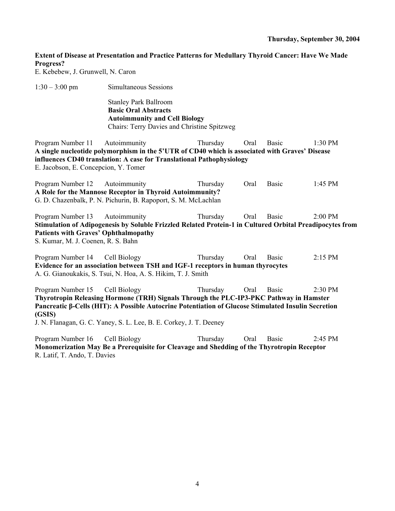#### **Thursday, September 30, 2004**

## **Extent of Disease at Presentation and Practice Patterns for Medullary Thyroid Cancer: Have We Made Progress?**

E. Kebebew, J. Grunwell, N. Caron

1:30 – 3:00 pm Simultaneous Sessions

Stanley Park Ballroom **Basic Oral Abstracts Autoimmunity and Cell Biology**  Chairs: Terry Davies and Christine Spitzweg

Program Number 11 Autoimmunity Thursday Oral Basic 1:30 PM **A single nucleotide polymorphism in the 5'UTR of CD40 which is associated with Graves' Disease influences CD40 translation: A case for Translational Pathophysiology**  E. Jacobson, E. Concepcion, Y. Tomer

Program Number 12 Autoimmunity Thursday Oral Basic 1:45 PM **A Role for the Mannose Receptor in Thyroid Autoimmunity?**  G. D. Chazenbalk, P. N. Pichurin, B. Rapoport, S. M. McLachlan

Program Number 13 Autoimmunity Thursday Oral Basic 2:00 PM **Stimulation of Adipogenesis by Soluble Frizzled Related Protein-1 in Cultured Orbital Preadipocytes from Patients with Graves' Ophthalmopathy**  S. Kumar, M. J. Coenen, R. S. Bahn

Program Number 14 Cell Biology Thursday Oral Basic 2:15 PM **Evidence for an association between TSH and IGF-1 receptors in human thyrocytes**  A. G. Gianoukakis, S. Tsui, N. Hoa, A. S. Hikim, T. J. Smith

Program Number 15 Cell Biology Thursday Oral Basic 2:30 PM **Thyrotropin Releasing Hormone (TRH) Signals Through the PLC-IP3-PKC Pathway in Hamster Pancreatic β-Cells (HIT): A Possible Autocrine Potentiation of Glucose Stimulated Insulin Secretion (GSIS)** 

J. N. Flanagan, G. C. Yaney, S. L. Lee, B. E. Corkey, J. T. Deeney

Program Number 16 Cell Biology Thursday Oral Basic 2:45 PM **Monomerization May Be a Prerequisite for Cleavage and Shedding of the Thyrotropin Receptor**  R. Latif, T. Ando, T. Davies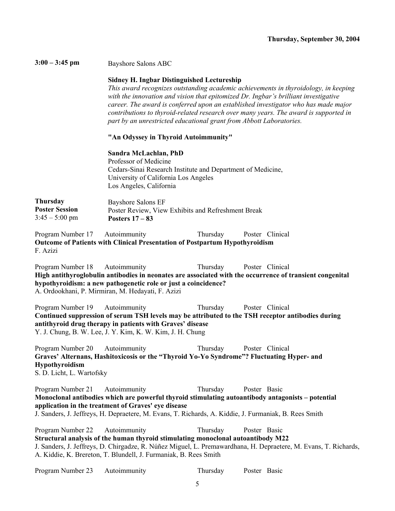**3:00 – 3:45 pm** Bayshore Salons ABC

### **Sidney H. Ingbar Distinguished Lectureship**

*This award recognizes outstanding academic achievements in thyroidology, in keeping with the innovation and vision that epitomized Dr. Ingbar's brilliant investigative career. The award is conferred upon an established investigator who has made major contributions to thyroid-related research over many years. The award is supported in part by an unrestricted educational grant from Abbott Laboratories.* 

#### **"An Odyssey in Thyroid Autoimmunity"**

#### **Sandra McLachlan, PhD**

Professor of Medicine Cedars-Sinai Research Institute and Department of Medicine, University of California Los Angeles Los Angeles, California

| <b>Thursday</b>       | Bayshore Salons EF                                 |
|-----------------------|----------------------------------------------------|
| <b>Poster Session</b> | Poster Review, View Exhibits and Refreshment Break |
| $3:45 - 5:00$ pm      | Posters $17-83$                                    |

Program Number 17 Autoimmunity Thursday Poster Clinical **Outcome of Patients with Clinical Presentation of Postpartum Hypothyroidism**  F. Azizi

Program Number 18 Autoimmunity Thursday Poster Clinical **High antithyroglobulin antibodies in neonates are associated with the occurrence of transient congenital hypothyroidism: a new pathogenetic role or just a coincidence?**  A. Ordookhani, P. Mirmiran, M. Hedayati, F. Azizi

Program Number 19 Autoimmunity Thursday Poster Clinical **Continued suppression of serum TSH levels may be attributed to the TSH receptor antibodies during antithyroid drug therapy in patients with Graves' disease**  Y. J. Chung, B. W. Lee, J. Y. Kim, K. W. Kim, J. H. Chung

Program Number 20 Autoimmunity Thursday Poster Clinical **Graves' Alternans, Hashitoxicosis or the "Thyroid Yo-Yo Syndrome"? Fluctuating Hyper- and Hypothyroidism**  S. D. Licht, L. Wartofsky

Program Number 21 Autoimmunity Thursday Poster Basic **Monoclonal antibodies which are powerful thyroid stimulating autoantibody antagonists – potential application in the treatment of Graves' eye disease**  J. Sanders, J. Jeffreys, H. Depraetere, M. Evans, T. Richards, A. Kiddie, J. Furmaniak, B. Rees Smith

Program Number 22 Autoimmunity Thursday Poster Basic **Structural analysis of the human thyroid stimulating monoclonal autoantibody M22**  J. Sanders, J. Jeffreys, D. Chirgadze, R. Núñez Miguel, L. Premawardhana, H. Depraetere, M. Evans, T. Richards, A. Kiddie, K. Brereton, T. Blundell, J. Furmaniak, B. Rees Smith

| Program Number 23 | Autoimmunity | Thursday | Poster Basic |  |
|-------------------|--------------|----------|--------------|--|
|-------------------|--------------|----------|--------------|--|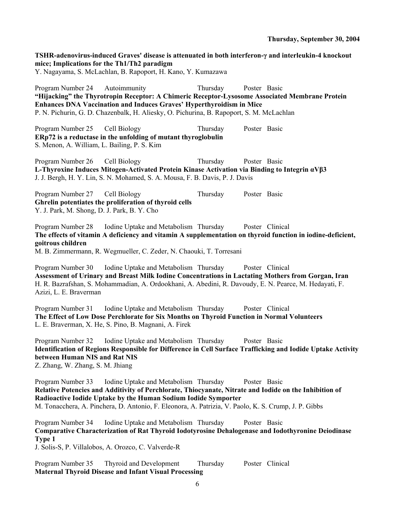**Thursday, September 30, 2004** 

**TSHR-adenovirus-induced Graves' disease is attenuated in both interferon-γ and interleukin-4 knockout mice; Implications for the Th1/Th2 paradigm**  Y. Nagayama, S. McLachlan, B. Rapoport, H. Kano, Y. Kumazawa Program Number 24 Autoimmunity Thursday Poster Basic **"Hijacking" the Thyrotropin Receptor: A Chimeric Receptor-Lysosome Associated Membrane Protein Enhances DNA Vaccination and Induces Graves' Hyperthyroidism in Mice**  P. N. Pichurin, G. D. Chazenbalk, H. Aliesky, O. Pichurina, B. Rapoport, S. M. McLachlan Program Number 25 Cell Biology Thursday Poster Basic **ERp72 is a reductase in the unfolding of mutant thyroglobulin**  S. Menon, A. William, L. Bailing, P. S. Kim Program Number 26 Cell Biology Thursday Poster Basic **L-Thyroxine Induces Mitogen-Activated Protein Kinase Activation via Binding to Integrin αVβ3**  J. J. Bergh, H. Y. Lin, S. N. Mohamed, S. A. Mousa, F. B. Davis, P. J. Davis Program Number 27 Cell Biology Thursday Poster Basic **Ghrelin potentiates the proliferation of thyroid cells**  Y. J. Park, M. Shong, D. J. Park, B. Y. Cho Program Number 28 Iodine Uptake and Metabolism Thursday Poster Clinical **The effects of vitamin A deficiency and vitamin A supplementation on thyroid function in iodine-deficient, goitrous children**  M. B. Zimmermann, R. Wegmueller, C. Zeder, N. Chaouki, T. Torresani Program Number 30 Iodine Uptake and Metabolism Thursday Poster Clinical **Assessment of Urinary and Breast Milk Iodine Concentrations in Lactating Mothers from Gorgan, Iran**  H. R. Bazrafshan, S. Mohammadian, A. Ordookhani, A. Abedini, R. Davoudy, E. N. Pearce, M. Hedayati, F. Azizi, L. E. Braverman Program Number 31 Iodine Uptake and Metabolism Thursday Poster Clinical **The Effect of Low Dose Perchlorate for Six Months on Thyroid Function in Normal Volunteers**  L. E. Braverman, X. He, S. Pino, B. Magnani, A. Firek Program Number 32 Iodine Uptake and Metabolism Thursday Poster Basic **Identification of Regions Responsible for Difference in Cell Surface Trafficking and Iodide Uptake Activity between Human NIS and Rat NIS**  Z. Zhang, W. Zhang, S. M. Jhiang Program Number 33 Iodine Uptake and Metabolism Thursday Poster Basic **Relative Potencies and Additivity of Perchlorate, Thiocyanate, Nitrate and Iodide on the Inhibition of Radioactive Iodide Uptake by the Human Sodium Iodide Symporter**  M. Tonacchera, A. Pinchera, D. Antonio, F. Eleonora, A. Patrizia, V. Paolo, K. S. Crump, J. P. Gibbs Program Number 34 Iodine Uptake and Metabolism Thursday Poster Basic **Comparative Characterization of Rat Thyroid Iodotyrosine Dehalogenase and Iodothyronine Deiodinase Type 1**  J. Solis-S, P. Villalobos, A. Orozco, C. Valverde-R Program Number 35 Thyroid and Development Thursday Poster Clinical **Maternal Thyroid Disease and Infant Visual Processing**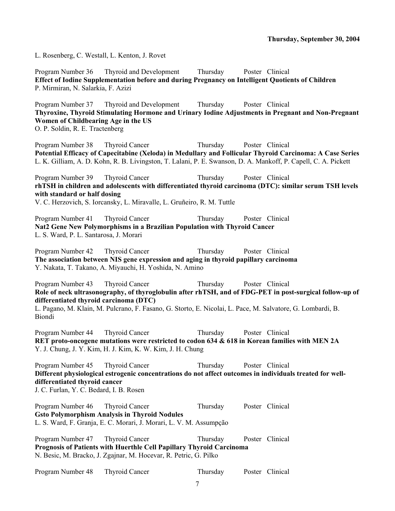L. Rosenberg, C. Westall, L. Kenton, J. Rovet

Program Number 36 Thyroid and Development Thursday Poster Clinical **Effect of Iodine Supplementation before and during Pregnancy on Intelligent Quotients of Children**  P. Mirmiran, N. Salarkia, F. Azizi

Program Number 37 Thyroid and Development Thursday Poster Clinical **Thyroxine, Thyroid Stimulating Hormone and Urinary Iodine Adjustments in Pregnant and Non-Pregnant Women of Childbearing Age in the US**  O. P. Soldin, R. E. Tractenberg

Program Number 38 Thyroid Cancer Thursday Poster Clinical **Potential Efficacy of Capecitabine (Xeloda) in Medullary and Follicular Thyroid Carcinoma: A Case Series**  L. K. Gilliam, A. D. Kohn, R. B. Livingston, T. Lalani, P. E. Swanson, D. A. Mankoff, P. Capell, C. A. Pickett

Program Number 39 Thyroid Cancer Thursday Poster Clinical **rhTSH in children and adolescents with differentiated thyroid carcinoma (DTC): similar serum TSH levels with standard or half dosing** 

V. C. Herzovich, S. Iorcansky, L. Miravalle, L. Gruñeiro, R. M. Tuttle

Program Number 41 Thyroid Cancer Thursday Poster Clinical **Nat2 Gene New Polymorphisms in a Brazilian Population with Thyroid Cancer**  L. S. Ward, P. L. Santarosa, J. Morari

Program Number 42 Thyroid Cancer Thursday Poster Clinical **The association between NIS gene expression and aging in thyroid papillary carcinoma**  Y. Nakata, T. Takano, A. Miyauchi, H. Yoshida, N. Amino

Program Number 43 Thyroid Cancer Thursday Poster Clinical **Role of neck ultrasonography, of thyroglobulin after rhTSH, and of FDG-PET in post-surgical follow-up of differentiated thyroid carcinoma (DTC)** 

L. Pagano, M. Klain, M. Pulcrano, F. Fasano, G. Storto, E. Nicolai, L. Pace, M. Salvatore, G. Lombardi, B. Biondi

Program Number 44 Thyroid Cancer Thursday Poster Clinical **RET proto-oncogene mutations were restricted to codon 634 & 618 in Korean families with MEN 2A**  Y. J. Chung, J. Y. Kim, H. J. Kim, K. W. Kim, J. H. Chung

Program Number 45 Thyroid Cancer Thursday Poster Clinical **Different physiological estrogenic concentrations do not affect outcomes in individuals treated for welldifferentiated thyroid cancer**  J. C. Furlan, Y. C. Bedard, I. B. Rosen

Program Number 46 Thyroid Cancer Thursday Poster Clinical **Gsto Polymorphism Analysis in Thyroid Nodules**  L. S. Ward, F. Granja, E. C. Morari, J. Morari, L. V. M. Assumpção

Program Number 47 Thyroid Cancer Thursday Poster Clinical **Prognosis of Patients with Huerthle Cell Papillary Thyroid Carcinoma**  N. Besic, M. Bracko, J. Zgajnar, M. Hocevar, R. Petric, G. Pilko

Program Number 48 Thyroid Cancer Thursday Poster Clinical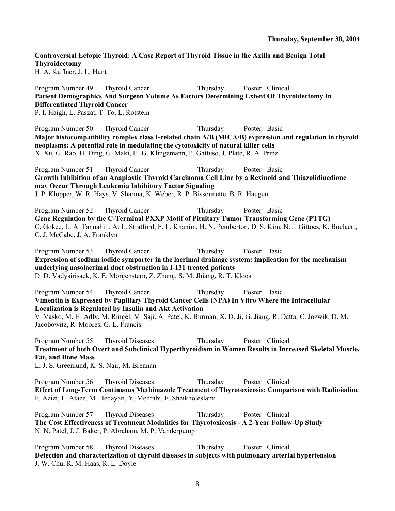# **Controversial Ectopic Thyroid: A Case Report of Thyroid Tissue in the Axilla and Benign Total Thyroidectomy**

H. A. Kuffner, J. L. Hunt

Program Number 49 Thyroid Cancer Thursday Poster Clinical **Patient Demographics And Surgeon Volume As Factors Determining Extent Of Thyroidectomy In Differentiated Thyroid Cancer** 

P. I. Haigh, L. Paszat, T. To, L. Rotstein

Program Number 50 Thyroid Cancer Thursday Poster Basic **Major histocompatibility complex class I-related chain A/B (MICA/B) expression and regulation in thyroid neoplasms: A potential role in modulating the cytotoxicity of natural killer cells**  X. Xu, G. Rao, H. Ding, G. Maki, H. G. Klingemann, P. Gattuso, J. Plate, R. A. Prinz

Program Number 51 Thyroid Cancer Thursday Poster Basic **Growth Inhibition of an Anaplastic Thyroid Carcinoma Cell Line by a Rexinoid and Thiazolidinedione may Occur Through Leukemia Inhibitory Factor Signaling**  J. P. Klopper, W. R. Hays, V. Sharma, K. Weber, R. P. Bissonnette, B. R. Haugen

Program Number 52 Thyroid Cancer Thursday Poster Basic **Gene Regulation by the C-Terminal PXXP Motif of Pituitary Tumor Transforming Gene (PTTG)**  C. Gokce, L. A. Tannahill, A. L. Stratford, F. L. Khanim, H. N. Pemberton, D. S. Kim, N. J. Gittoes, K. Boelaert, C. J. McCabe, J. A. Franklyn

Program Number 53 Thyroid Cancer Thursday Poster Basic **Expression of sodium iodide symporter in the lacrimal drainage system: implication for the mechanism underlying nasolacrimal duct obstruction in I-131 treated patients**  D. D. Vadysirisack, K. E. Morgenstern, Z. Zhang, S. M. Jhiang, R. T. Kloos

Program Number 54 Thyroid Cancer Thursday Poster Basic **Vimentin is Expressed by Papillary Thyroid Cancer Cells (NPA) In Vitro Where the Intracellular Localization is Regulated by Insulin and Akt Activation**  V. Vasko, M. H. Adly, M. Ringel, M. Saji, A. Patel, K. Burman, X. D. Ji, G. Jiang, R. Datta, C. Jozwik, D. M. Jacobowitz, R. Moores, G. L. Francis

Program Number 55 Thyroid Diseases Thursday Poster Clinical **Treatment of both Overt and Subclinical Hyperthyroidism in Women Results in Increased Skeletal Muscle, Fat, and Bone Mass** 

L. J. S. Greenlund, K. S. Nair, M. Brennan

Program Number 56 Thyroid Diseases Thursday Poster Clinical **Effect of Long-Term Continuous Methimazole Treatment of Thyrotoxicosis: Comparison with Radioiodine**  F. Azizi, L. Ataee, M. Hedayati, Y. Mehrabi, F. Sheikholeslami

Program Number 57 Thyroid Diseases Thursday Poster Clinical **The Cost Effectiveness of Treatment Modalities for Thyrotoxicosis - A 2-Year Follow-Up Study**  N. N. Patel, J. J. Baker, P. Abraham, M. P. Vanderpump

Program Number 58 Thyroid Diseases Thursday Poster Clinical **Detection and characterization of thyroid diseases in subjects with pulmonary arterial hypertension**  J. W. Chu, R. M. Haas, R. L. Doyle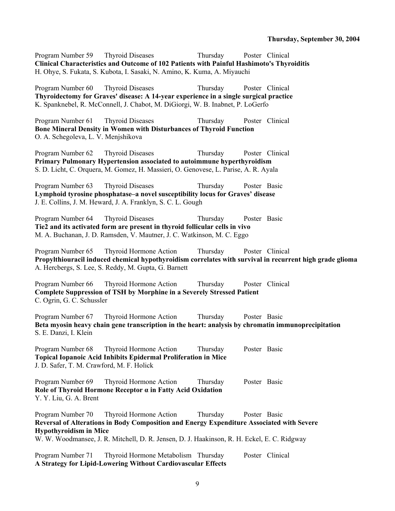Program Number 59 Thyroid Diseases Thursday Poster Clinical **Clinical Characteristics and Outcome of 102 Patients with Painful Hashimoto's Thyroiditis**  H. Ohye, S. Fukata, S. Kubota, I. Sasaki, N. Amino, K. Kuma, A. Miyauchi

Program Number 60 Thyroid Diseases Thursday Poster Clinical **Thyroidectomy for Graves' disease: A 14-year experience in a single surgical practice**  K. Spanknebel, R. McConnell, J. Chabot, M. DiGiorgi, W. B. Inabnet, P. LoGerfo

Program Number 61 Thyroid Diseases Thursday Poster Clinical **Bone Mineral Density in Women with Disturbances of Thyroid Function**  O. A. Schegoleva, L. V. Menjshikova

Program Number 62 Thyroid Diseases Thursday Poster Clinical **Primary Pulmonary Hypertension associated to autoimmune hyperthyroidism**  S. D. Licht, C. Orquera, M. Gomez, H. Massieri, O. Genovese, L. Parise, A. R. Ayala

Program Number 63 Thyroid Diseases Thursday Poster Basic **Lymphoid tyrosine phosphatase–a novel susceptibility locus for Graves' disease**  J. E. Collins, J. M. Heward, J. A. Franklyn, S. C. L. Gough

Program Number 64 Thyroid Diseases Thursday Poster Basic **Tie2 and its activated form are present in thyroid follicular cells in vivo**  M. A. Buchanan, J. D. Ramsden, V. Mautner, J. C. Watkinson, M. C. Eggo

Program Number 65 Thyroid Hormone Action Thursday Poster Clinical **Propylthiouracil induced chemical hypothyroidism correlates with survival in recurrent high grade glioma**  A. Hercbergs, S. Lee, S. Reddy, M. Gupta, G. Barnett

Program Number 66 Thyroid Hormone Action Thursday Poster Clinical **Complete Suppression of TSH by Morphine in a Severely Stressed Patient**  C. Ogrin, G. C. Schussler

Program Number 67 Thyroid Hormone Action Thursday Poster Basic **Beta myosin heavy chain gene transcription in the heart: analysis by chromatin immunoprecipitation**  S. E. Danzi, I. Klein

Program Number 68 Thyroid Hormone Action Thursday Poster Basic **Topical Iopanoic Acid Inhibits Epidermal Proliferation in Mice**  J. D. Safer, T. M. Crawford, M. F. Holick

Program Number 69 Thyroid Hormone Action Thursday Poster Basic **Role of Thyroid Hormone Receptor α in Fatty Acid Oxidation**  Y. Y. Liu, G. A. Brent

Program Number 70 Thyroid Hormone Action Thursday Poster Basic **Reversal of Alterations in Body Composition and Energy Expenditure Associated with Severe Hypothyroidism in Mice** 

W. W. Woodmansee, J. R. Mitchell, D. R. Jensen, D. J. Haakinson, R. H. Eckel, E. C. Ridgway

Program Number 71 Thyroid Hormone Metabolism Thursday Poster Clinical **A Strategy for Lipid-Lowering Without Cardiovascular Effects**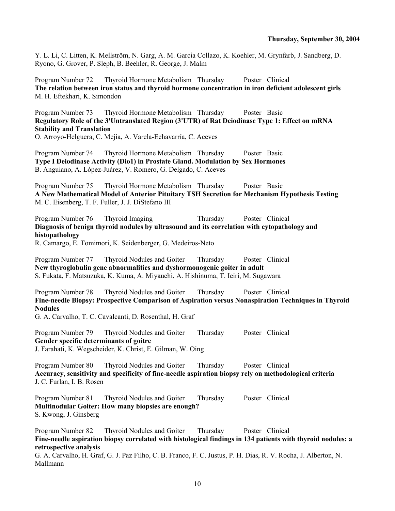Y. L. Li, C. Litten, K. Mellström, N. Garg, A. M. Garcia Collazo, K. Koehler, M. Grynfarb, J. Sandberg, D. Ryono, G. Grover, P. Sleph, B. Beehler, R. George, J. Malm

Program Number 72 Thyroid Hormone Metabolism Thursday Poster Clinical **The relation between iron status and thyroid hormone concentration in iron deficient adolescent girls**  M. H. Eftekhari, K. Simondon

Program Number 73 Thyroid Hormone Metabolism Thursday Poster Basic **Regulatory Role of the 3'Untranslated Region (3'UTR) of Rat Deiodinase Type 1: Effect on mRNA Stability and Translation** 

O. Arroyo-Helguera, C. Mejia, A. Varela-Echavarría, C. Aceves

Program Number 74 Thyroid Hormone Metabolism Thursday Poster Basic **Type I Deiodinase Activity (Dio1) in Prostate Gland. Modulation by Sex Hormones**  B. Anguiano, A. López-Juárez, V. Romero, G. Delgado, C. Aceves

Program Number 75 Thyroid Hormone Metabolism Thursday Poster Basic **A New Mathematical Model of Anterior Pituitary TSH Secretion for Mechanism Hypothesis Testing**  M. C. Eisenberg, T. F. Fuller, J. J. DiStefano III

Program Number 76 Thyroid Imaging Thursday Poster Clinical **Diagnosis of benign thyroid nodules by ultrasound and its correlation with cytopathology and histopathology** 

R. Camargo, E. Tomimori, K. Seidenberger, G. Medeiros-Neto

Program Number 77 Thyroid Nodules and Goiter Thursday Poster Clinical **New thyroglobulin gene abnormalities and dyshormonogenic goiter in adult**  S. Fukata, F. Matsuzuka, K. Kuma, A. Miyauchi, A. Hishinuma, T. Ieiri, M. Sugawara

Program Number 78 Thyroid Nodules and Goiter Thursday Poster Clinical **Fine-needle Biopsy: Prospective Comparison of Aspiration versus Nonaspiration Techniques in Thyroid Nodules** 

G. A. Carvalho, T. C. Cavalcanti, D. Rosenthal, H. Graf

Program Number 79 Thyroid Nodules and Goiter Thursday Poster Clinical **Gender specific determinants of goitre**  J. Farahati, K. Wegscheider, K. Christ, E. Gilman, W. Oing

Program Number 80 Thyroid Nodules and Goiter Thursday Poster Clinical **Accuracy, sensitivity and specificity of fine-needle aspiration biopsy rely on methodological criteria**  J. C. Furlan, I. B. Rosen

Program Number 81 Thyroid Nodules and Goiter Thursday Poster Clinical **Multinodular Goiter: How many biopsies are enough?**  S. Kwong, J. Ginsberg

Program Number 82 Thyroid Nodules and Goiter Thursday Poster Clinical **Fine-needle aspiration biopsy correlated with histological findings in 134 patients with thyroid nodules: a retrospective analysis**  G. A. Carvalho, H. Graf, G. J. Paz Filho, C. B. Franco, F. C. Justus, P. H. Dias, R. V. Rocha, J. Alberton, N.

Mallmann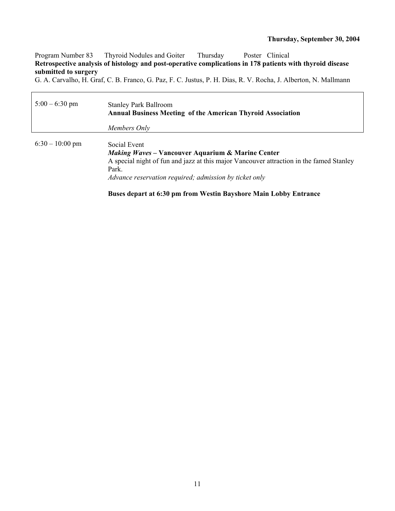٦

Program Number 83 Thyroid Nodules and Goiter Thursday Poster Clinical **Retrospective analysis of histology and post-operative complications in 178 patients with thyroid disease submitted to surgery** 

G. A. Carvalho, H. Graf, C. B. Franco, G. Paz, F. C. Justus, P. H. Dias, R. V. Rocha, J. Alberton, N. Mallmann

 $\Gamma$ 

| $5:00 - 6:30$ pm | <b>Stanley Park Ballroom</b><br><b>Annual Business Meeting of the American Thyroid Association</b><br>Members Only                                                                                                                                                                                             |
|------------------|----------------------------------------------------------------------------------------------------------------------------------------------------------------------------------------------------------------------------------------------------------------------------------------------------------------|
| $6:30-10:00$ pm  | Social Event<br><b>Making Waves - Vancouver Aquarium &amp; Marine Center</b><br>A special night of fun and jazz at this major Vancouver attraction in the famed Stanley<br>Park.<br>Advance reservation required; admission by ticket only<br>Buses depart at 6:30 pm from Westin Bayshore Main Lobby Entrance |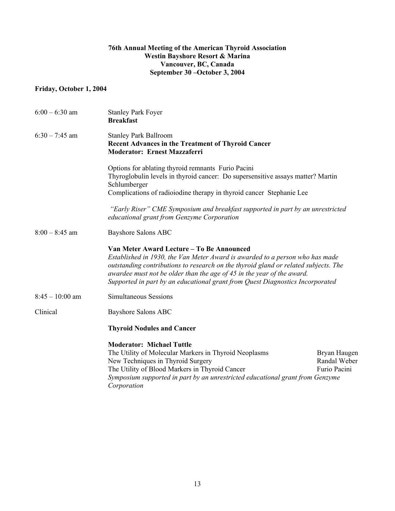## **76th Annual Meeting of the American Thyroid Association Westin Bayshore Resort & Marina Vancouver, BC, Canada September 30 –October 3, 2004**

## **Friday, October 1, 2004**

| $6:00 - 6:30$ am  | <b>Stanley Park Foyer</b><br><b>Breakfast</b>                                                                                                                                                                                                                                                                                                                               |
|-------------------|-----------------------------------------------------------------------------------------------------------------------------------------------------------------------------------------------------------------------------------------------------------------------------------------------------------------------------------------------------------------------------|
| $6:30 - 7:45$ am  | <b>Stanley Park Ballroom</b><br>Recent Advances in the Treatment of Thyroid Cancer<br><b>Moderator: Ernest Mazzaferri</b>                                                                                                                                                                                                                                                   |
|                   | Options for ablating thyroid remnants Furio Pacini<br>Thyroglobulin levels in thyroid cancer: Do supersensitive assays matter? Martin<br>Schlumberger<br>Complications of radioiodine therapy in thyroid cancer Stephanie Lee                                                                                                                                               |
|                   | "Early Riser" CME Symposium and breakfast supported in part by an unrestricted<br>educational grant from Genzyme Corporation                                                                                                                                                                                                                                                |
| $8:00 - 8:45$ am  | <b>Bayshore Salons ABC</b>                                                                                                                                                                                                                                                                                                                                                  |
|                   | Van Meter Award Lecture – To Be Announced<br>Established in 1930, the Van Meter Award is awarded to a person who has made<br>outstanding contributions to research on the thyroid gland or related subjects. The<br>awardee must not be older than the age of 45 in the year of the award.<br>Supported in part by an educational grant from Quest Diagnostics Incorporated |
| $8:45 - 10:00$ am | <b>Simultaneous Sessions</b>                                                                                                                                                                                                                                                                                                                                                |
| Clinical          | Bayshore Salons ABC                                                                                                                                                                                                                                                                                                                                                         |
|                   | <b>Thyroid Nodules and Cancer</b>                                                                                                                                                                                                                                                                                                                                           |
|                   | <b>Moderator: Michael Tuttle</b><br>The Utility of Molecular Markers in Thyroid Neoplasms<br>Bryan Haugen<br>Randal Weber<br>New Techniques in Thyroid Surgery<br>The Utility of Blood Markers in Thyroid Cancer<br>Furio Pacini<br>Symposium supported in part by an unrestricted educational grant from Genzyme<br>Corporation                                            |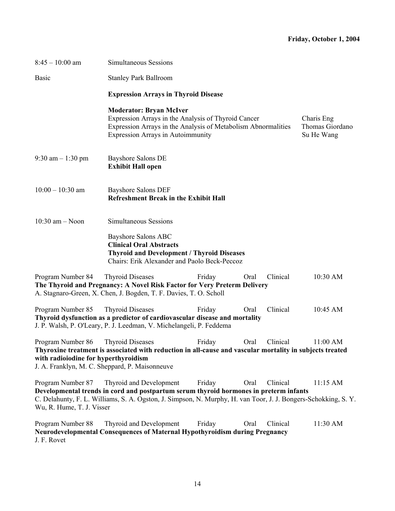| $8:45 - 10:00$ am                                                                                           | Simultaneous Sessions                                                                                                                                                                                                                                                        |
|-------------------------------------------------------------------------------------------------------------|------------------------------------------------------------------------------------------------------------------------------------------------------------------------------------------------------------------------------------------------------------------------------|
| <b>Basic</b>                                                                                                | <b>Stanley Park Ballroom</b>                                                                                                                                                                                                                                                 |
|                                                                                                             | <b>Expression Arrays in Thyroid Disease</b>                                                                                                                                                                                                                                  |
|                                                                                                             | <b>Moderator: Bryan McIver</b><br>Expression Arrays in the Analysis of Thyroid Cancer<br>Charis Eng<br>Expression Arrays in the Analysis of Metabolism Abnormalities<br>Thomas Giordano<br><b>Expression Arrays in Autoimmunity</b><br>Su He Wang                            |
| 9:30 am $-1:30$ pm                                                                                          | <b>Bayshore Salons DE</b><br><b>Exhibit Hall open</b>                                                                                                                                                                                                                        |
| $10:00 - 10:30$ am                                                                                          | <b>Bayshore Salons DEF</b><br><b>Refreshment Break in the Exhibit Hall</b>                                                                                                                                                                                                   |
| $10:30$ am $-$ Noon                                                                                         | Simultaneous Sessions                                                                                                                                                                                                                                                        |
|                                                                                                             | <b>Bayshore Salons ABC</b><br><b>Clinical Oral Abstracts</b><br><b>Thyroid and Development / Thyroid Diseases</b><br>Chairs: Erik Alexander and Paolo Beck-Peccoz                                                                                                            |
| Program Number 84                                                                                           | Clinical<br>10:30 AM<br><b>Thyroid Diseases</b><br>Oral<br>Friday<br>The Thyroid and Pregnancy: A Novel Risk Factor for Very Preterm Delivery<br>A. Stagnaro-Green, X. Chen, J. Bogden, T. F. Davies, T. O. Scholl                                                           |
| Program Number 85                                                                                           | Clinical<br><b>Thyroid Diseases</b><br>10:45 AM<br>Friday<br>Oral<br>Thyroid dysfunction as a predictor of cardiovascular disease and mortality<br>J. P. Walsh, P. O'Leary, P. J. Leedman, V. Michelangeli, P. Feddema                                                       |
| Program Number 86<br>with radioiodine for hyperthyroidism<br>J. A. Franklyn, M. C. Sheppard, P. Maisonneuve | Clinical<br>11:00 AM<br><b>Thyroid Diseases</b><br>Friday<br>Oral<br>Thyroxine treatment is associated with reduction in all-cause and vascular mortality in subjects treated                                                                                                |
| Program Number 87<br>Wu, R. Hume, T. J. Visser                                                              | Thyroid and Development<br>Clinical<br>Friday<br>Oral<br>11:15 AM<br>Developmental trends in cord and postpartum serum thyroid hormones in preterm infants<br>C. Delahunty, F. L. Williams, S. A. Ogston, J. Simpson, N. Murphy, H. van Toor, J. J. Bongers-Schokking, S. Y. |
| Program Number 88<br>J. F. Rovet                                                                            | Thyroid and Development<br>Clinical<br>11:30 AM<br>Friday<br>Oral<br>Neurodevelopmental Consequences of Maternal Hypothyroidism during Pregnancy                                                                                                                             |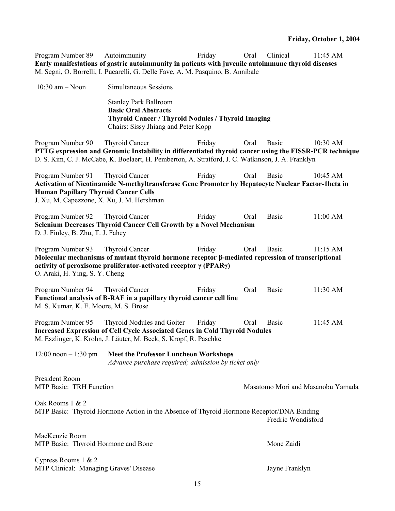**Early manifestations of gastric autoimmunity in patients with juvenile autoimmune thyroid diseases**  M. Segni, O. Borrelli, I. Pucarelli, G. Delle Fave, A. M. Pasquino, B. Annibale 10:30 am – Noon Simultaneous Sessions Stanley Park Ballroom **Basic Oral Abstracts Thyroid Cancer / Thyroid Nodules / Thyroid Imaging**  Chairs: Sissy Jhiang and Peter Kopp Program Number 90 Thyroid Cancer Friday Oral Basic 10:30 AM **PTTG expression and Genomic Instability in differentiated thyroid cancer using the FISSR-PCR technique**  D. S. Kim, C. J. McCabe, K. Boelaert, H. Pemberton, A. Stratford, J. C. Watkinson, J. A. Franklyn Program Number 91 Thyroid Cancer Friday Oral Basic 10:45 AM **Activation of Nicotinamide N-methyltransferase Gene Promoter by Hepatocyte Nuclear Factor-1beta in Human Papillary Thyroid Cancer Cells**  J. Xu, M. Capezzone, X. Xu, J. M. Hershman Program Number 92 Thyroid Cancer Friday Oral Basic 11:00 AM **Selenium Decreases Thyroid Cancer Cell Growth by a Novel Mechanism**  D. J. Finley, B. Zhu, T. J. Fahey Program Number 93 Thyroid Cancer Friday Oral Basic 11:15 AM **Molecular mechanisms of mutant thyroid hormone receptor β-mediated repression of transcriptional activity of peroxisome proliferator-activated receptor γ (PPARγ)**  O. Araki, H. Ying, S. Y. Cheng Program Number 94 Thyroid Cancer Friday Oral Basic 11:30 AM **Functional analysis of B-RAF in a papillary thyroid cancer cell line**  M. S. Kumar, K. E. Moore, M. S. Brose Program Number 95 Thyroid Nodules and Goiter Friday Oral Basic 11:45 AM **Increased Expression of Cell Cycle Associated Genes in Cold Thyroid Nodules**  M. Eszlinger, K. Krohn, J. Läuter, M. Beck, S. Kropf, R. Paschke 12:00 noon – 1:30 pm **Meet the Professor Luncheon Workshops**  *Advance purchase required; admission by ticket only* President Room MTP Basic: TRH Function Masatomo Mori and Masanobu Yamada Oak Rooms 1 & 2 MTP Basic: Thyroid Hormone Action in the Absence of Thyroid Hormone Receptor/DNA Binding Fredric Wondisford MacKenzie Room MTP Basic: Thyroid Hormone and Bone Mone Zaidi Cypress Rooms 1 & 2 MTP Clinical: Managing Graves' Disease Jayne Franklyn

Program Number 89 Autoimmunity Friday Oral Clinical 11:45 AM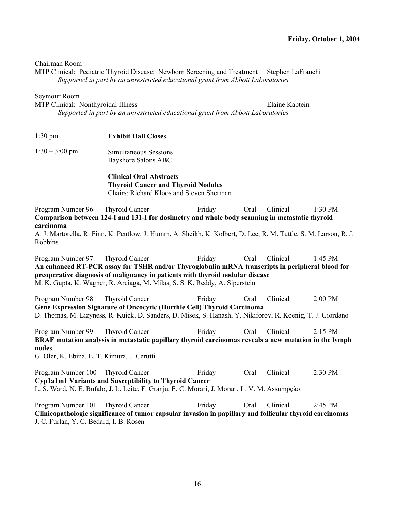Chairman Room

MTP Clinical: Pediatric Thyroid Disease: Newborn Screening and Treatment Stephen LaFranchi *Supported in part by an unrestricted educational grant from Abbott Laboratories* 

Seymour Room

MTP Clinical: Nonthyroidal Illness entitled and the State Elaine Kaptein

*Supported in part by an unrestricted educational grant from Abbott Laboratories* 

- 1:30 pm **Exhibit Hall Closes**
- 1:30 3:00 pm Simultaneous Sessions Bayshore Salons ABC

**Clinical Oral Abstracts Thyroid Cancer and Thyroid Nodules**  Chairs: Richard Kloos and Steven Sherman

Program Number 96 Thyroid Cancer Friday Oral Clinical 1:30 PM **Comparison between 124-I and 131-I for dosimetry and whole body scanning in metastatic thyroid carcinoma** 

A. J. Martorella, R. Finn, K. Pentlow, J. Humm, A. Sheikh, K. Kolbert, D. Lee, R. M. Tuttle, S. M. Larson, R. J. Robbins

Program Number 97 Thyroid Cancer Friday Oral Clinical 1:45 PM **An enhanced RT-PCR assay for TSHR and/or Thyroglobulin mRNA transcripts in peripheral blood for preoperative diagnosis of malignancy in patients with thyroid nodular disease**  M. K. Gupta, K. Wagner, R. Arciaga, M. Milas, S. S. K. Reddy, A. Siperstein

Program Number 98 Thyroid Cancer Friday Oral Clinical 2:00 PM **Gene Expression Signature of Oncocytic (Hurthle Cell) Thyroid Carcinoma**  D. Thomas, M. Lizyness, R. Kuick, D. Sanders, D. Misek, S. Hanash, Y. Nikiforov, R. Koenig, T. J. Giordano

Program Number 99 Thyroid Cancer Friday Oral Clinical 2:15 PM **BRAF mutation analysis in metastatic papillary thyroid carcinomas reveals a new mutation in the lymph nodes** 

G. Oler, K. Ebina, E. T. Kimura, J. Cerutti

Program Number 100 Thyroid Cancer Friday Oral Clinical 2:30 PM **Cyp1a1m1 Variants and Susceptibility to Thyroid Cancer**  L. S. Ward, N. E. Bufalo, J. L. Leite, F. Granja, E. C. Morari, J. Morari, L. V. M. Assumpção

Program Number 101 Thyroid Cancer Friday Oral Clinical 2:45 PM **Clinicopathologic significance of tumor capsular invasion in papillary and follicular thyroid carcinomas**  J. C. Furlan, Y. C. Bedard, I. B. Rosen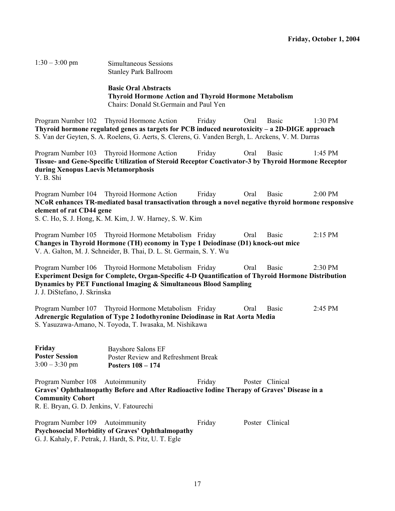1:30 – 3:00 pm Simultaneous Sessions Stanley Park Ballroom

> **Basic Oral Abstracts Thyroid Hormone Action and Thyroid Hormone Metabolism**  Chairs: Donald St.Germain and Paul Yen

Program Number 102 Thyroid Hormone Action Friday Oral Basic 1:30 PM **Thyroid hormone regulated genes as targets for PCB induced neurotoxicity – a 2D-DIGE approach**  S. Van der Geyten, S. A. Roelens, G. Aerts, S. Clerens, G. Vanden Bergh, L. Arckens, V. M. Darras

Program Number 103 Thyroid Hormone Action Friday Oral Basic 1:45 PM **Tissue- and Gene-Specific Utilization of Steroid Receptor Coactivator-3 by Thyroid Hormone Receptor during Xenopus Laevis Metamorphosis**  Y. B. Shi

Program Number 104 Thyroid Hormone Action Friday Oral Basic 2:00 PM **NCoR enhances TR-mediated basal transactivation through a novel negative thyroid hormone responsive element of rat CD44 gene** 

S. C. Ho, S. J. Hong, K. M. Kim, J. W. Harney, S. W. Kim

Program Number 105 Thyroid Hormone Metabolism Friday Oral Basic 2:15 PM **Changes in Thyroid Hormone (TH) economy in Type 1 Deiodinase (D1) knock-out mice**  V. A. Galton, M. J. Schneider, B. Thai, D. L. St. Germain, S. Y. Wu

Program Number 106 Thyroid Hormone Metabolism Friday Oral Basic 2:30 PM **Experiment Design for Complete, Organ-Specific 4-D Quantification of Thyroid Hormone Distribution Dynamics by PET Functional Imaging & Simultaneous Blood Sampling**  J. J. DiStefano, J. Skrinska

Program Number 107 Thyroid Hormone Metabolism Friday Oral Basic 2:45 PM **Adrenergic Regulation of Type 2 Iodothyronine Deiodinase in Rat Aorta Media**  S. Yasuzawa-Amano, N. Toyoda, T. Iwasaka, M. Nishikawa

| Friday                | Bayshore Salons EF                  |
|-----------------------|-------------------------------------|
| <b>Poster Session</b> | Poster Review and Refreshment Break |
| $3:00 - 3:30$ pm      | Posters $108 - 174$                 |

Program Number 108 Autoimmunity Friday Poster Clinical **Graves' Ophthalmopathy Before and After Radioactive Iodine Therapy of Graves' Disease in a Community Cohort**  R. E. Bryan, G. D. Jenkins, V. Fatourechi

Program Number 109 Autoimmunity Friday Poster Clinical **Psychosocial Morbidity of Graves' Ophthalmopathy**  G. J. Kahaly, F. Petrak, J. Hardt, S. Pitz, U. T. Egle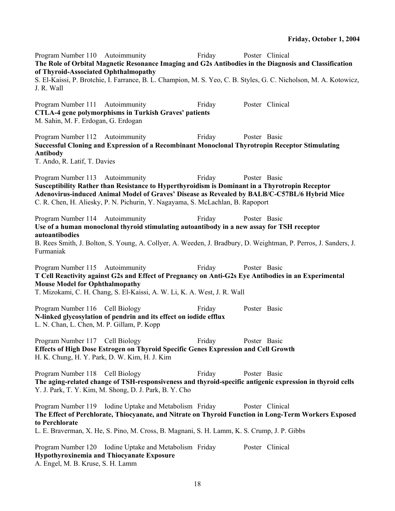Program Number 110 Autoimmunity Friday Poster Clinical **The Role of Orbital Magnetic Resonance Imaging and G2s Antibodies in the Diagnosis and Classification of Thyroid-Associated Ophthalmopathy**  S. El-Kaissi, P. Brotchie, I. Farrance, B. L. Champion, M. S. Yeo, C. B. Styles, G. C. Nicholson, M. A. Kotowicz, J. R. Wall Program Number 111 Autoimmunity Friday Poster Clinical **CTLA-4 gene polymorphisms in Turkish Graves' patients**  M. Sahin, M. F. Erdogan, G. Erdogan Program Number 112 Autoimmunity Friday Poster Basic **Successful Cloning and Expression of a Recombinant Monoclonal Thyrotropin Receptor Stimulating Antibody**  T. Ando, R. Latif, T. Davies Program Number 113 Autoimmunity Friday Poster Basic **Susceptibility Rather than Resistance to Hyperthyroidism is Dominant in a Thyrotropin Receptor Adenovirus-induced Animal Model of Graves' Disease as Revealed by BALB/C-C57BL/6 Hybrid Mice**  C. R. Chen, H. Aliesky, P. N. Pichurin, Y. Nagayama, S. McLachlan, B. Rapoport Program Number 114 Autoimmunity Friday Poster Basic **Use of a human monoclonal thyroid stimulating autoantibody in a new assay for TSH receptor autoantibodies**  B. Rees Smith, J. Bolton, S. Young, A. Collyer, A. Weeden, J. Bradbury, D. Weightman, P. Perros, J. Sanders, J. Furmaniak Program Number 115 Autoimmunity Friday Poster Basic **T Cell Reactivity against G2s and Effect of Pregnancy on Anti-G2s Eye Antibodies in an Experimental Mouse Model for Ophthalmopathy**  T. Mizokami, C. H. Chang, S. El-Kaissi, A. W. Li, K. A. West, J. R. Wall Program Number 116 Cell Biology Friday Poster Basic **N-linked glycosylation of pendrin and its effect on iodide efflux**  L. N. Chan, L. Chen, M. P. Gillam, P. Kopp Program Number 117 Cell Biology Friday Poster Basic **Effects of High Dose Estrogen on Thyroid Specific Genes Expression and Cell Growth**  H. K. Chung, H. Y. Park, D. W. Kim, H. J. Kim Program Number 118 Cell Biology Friday Poster Basic **The aging-related change of TSH-responsiveness and thyroid-specific antigenic expression in thyroid cells**  Y. J. Park, T. Y. Kim, M. Shong, D. J. Park, B. Y. Cho Program Number 119 Iodine Uptake and Metabolism Friday Poster Clinical **The Effect of Perchlorate, Thiocyanate, and Nitrate on Thyroid Function in Long-Term Workers Exposed to Perchlorate**  L. E. Braverman, X. He, S. Pino, M. Cross, B. Magnani, S. H. Lamm, K. S. Crump, J. P. Gibbs Program Number 120 Iodine Uptake and Metabolism Friday Poster Clinical **Hypothyroxinemia and Thiocyanate Exposure**  A. Engel, M. B. Kruse, S. H. Lamm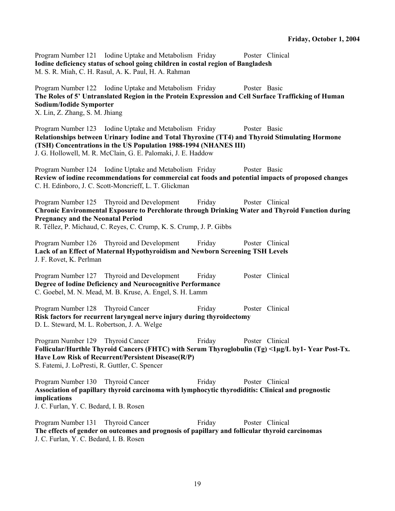Program Number 121 Iodine Uptake and Metabolism Friday Poster Clinical **Iodine deficiency status of school going children in costal region of Bangladesh**  M. S. R. Miah, C. H. Rasul, A. K. Paul, H. A. Rahman

Program Number 122 Iodine Uptake and Metabolism Friday Poster Basic **The Roles of 5' Untranslated Region in the Protein Expression and Cell Surface Trafficking of Human Sodium/Iodide Symporter**  X. Lin, Z. Zhang, S. M. Jhiang

Program Number 123 Iodine Uptake and Metabolism Friday Poster Basic **Relationships between Urinary Iodine and Total Thyroxine (TT4) and Thyroid Stimulating Hormone (TSH) Concentrations in the US Population 1988-1994 (NHANES III)**  J. G. Hollowell, M. R. McClain, G. E. Palomaki, J. E. Haddow

Program Number 124 Iodine Uptake and Metabolism Friday Poster Basic **Review of iodine recommendations for commercial cat foods and potential impacts of proposed changes**  C. H. Edinboro, J. C. Scott-Moncrieff, L. T. Glickman

Program Number 125 Thyroid and Development Friday Poster Clinical **Chronic Environmental Exposure to Perchlorate through Drinking Water and Thyroid Function during Pregnancy and the Neonatal Period**  R. Téllez, P. Michaud, C. Reyes, C. Crump, K. S. Crump, J. P. Gibbs

Program Number 126 Thyroid and Development Friday Poster Clinical **Lack of an Effect of Maternal Hypothyroidism and Newborn Screening TSH Levels**  J. F. Rovet, K. Perlman

Program Number 127 Thyroid and Development Friday Poster Clinical **Degree of Iodine Deficiency and Neurocognitive Performance**  C. Goebel, M. N. Mead, M. B. Kruse, A. Engel, S. H. Lamm

Program Number 128 Thyroid Cancer Friday Poster Clinical **Risk factors for recurrent laryngeal nerve injury during thyroidectomy**  D. L. Steward, M. L. Robertson, J. A. Welge

Program Number 129 Thyroid Cancer Friday Poster Clinical **Follicular/Hurthle Thyroid Cancers (FHTC) with Serum Thyroglobulin (Tg) <1µg/L by1- Year Post-Tx. Have Low Risk of Recurrent/Persistent Disease(R/P)**  S. Fatemi, J. LoPresti, R. Guttler, C. Spencer

Program Number 130 Thyroid Cancer Friday Poster Clinical **Association of papillary thyroid carcinoma with lymphocytic thyrodiditis: Clinical and prognostic implications**  J. C. Furlan, Y. C. Bedard, I. B. Rosen

Program Number 131 Thyroid Cancer Friday Poster Clinical **The effects of gender on outcomes and prognosis of papillary and follicular thyroid carcinomas**  J. C. Furlan, Y. C. Bedard, I. B. Rosen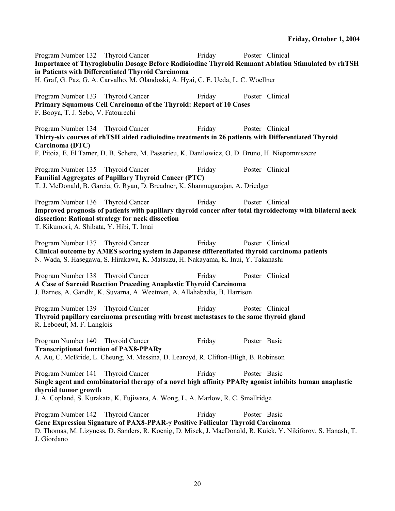Program Number 132 Thyroid Cancer Friday Poster Clinical **Importance of Thyroglobulin Dosage Before Radioiodine Thyroid Remnant Ablation Stimulated by rhTSH in Patients with Differentiated Thyroid Carcinoma**  H. Graf, G. Paz, G. A. Carvalho, M. Olandoski, A. Hyai, C. E. Ueda, L. C. Woellner Program Number 133 Thyroid Cancer Friday Poster Clinical **Primary Squamous Cell Carcinoma of the Thyroid: Report of 10 Cases**  F. Booya, T. J. Sebo, V. Fatourechi Program Number 134 Thyroid Cancer Friday Poster Clinical **Thirty-six courses of rhTSH aided radioiodine treatments in 26 patients with Differentiated Thyroid Carcinoma (DTC)**  F. Pitoia, E. El Tamer, D. B. Schere, M. Passerieu, K. Danilowicz, O. D. Bruno, H. Niepomniszcze Program Number 135 Thyroid Cancer Friday Poster Clinical **Familial Aggregates of Papillary Thyroid Cancer (PTC)**  T. J. McDonald, B. Garcia, G. Ryan, D. Breadner, K. Shanmugarajan, A. Driedger Program Number 136 Thyroid Cancer Friday Poster Clinical **Improved prognosis of patients with papillary thyroid cancer after total thyroidectomy with bilateral neck dissection: Rational strategy for neck dissection**  T. Kikumori, A. Shibata, Y. Hibi, T. Imai Program Number 137 Thyroid Cancer Friday Poster Clinical **Clinical outcome by AMES scoring system in Japanese differentiated thyroid carcinoma patients**  N. Wada, S. Hasegawa, S. Hirakawa, K. Matsuzu, H. Nakayama, K. Inui, Y. Takanashi Program Number 138 Thyroid Cancer Friday Poster Clinical **A Case of Sarcoid Reaction Preceding Anaplastic Thyroid Carcinoma**  J. Barnes, A. Gandhi, K. Suvarna, A. Weetman, A. Allahabadia, B. Harrison Program Number 139 Thyroid Cancer Friday Poster Clinical **Thyroid papillary carcinoma presenting with breast metastases to the same thyroid gland**  R. Leboeuf, M. F. Langlois Program Number 140 Thyroid Cancer Friday Poster Basic **Transcriptional function of PAX8-PPARγ** A. Au, C. McBride, L. Cheung, M. Messina, D. Learoyd, R. Clifton-Bligh, B. Robinson Program Number 141 Thyroid Cancer Friday Poster Basic **Single agent and combinatorial therapy of a novel high affinity PPARγ agonist inhibits human anaplastic thyroid tumor growth**  J. A. Copland, S. Kurakata, K. Fujiwara, A. Wong, L. A. Marlow, R. C. Smallridge Program Number 142 Thyroid Cancer Friday Poster Basic **Gene Expression Signature of PAX8-PPAR-γ Positive Follicular Thyroid Carcinoma**  D. Thomas, M. Lizyness, D. Sanders, R. Koenig, D. Misek, J. MacDonald, R. Kuick, Y. Nikiforov, S. Hanash, T. J. Giordano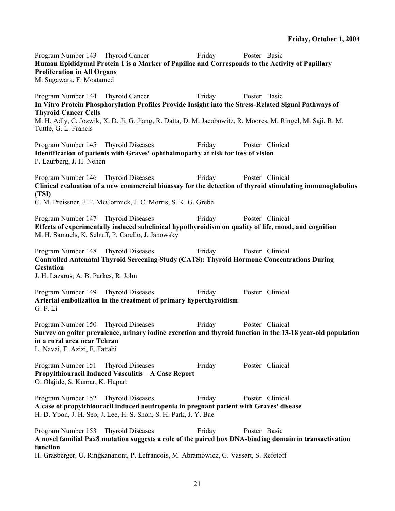Program Number 143 Thyroid Cancer Friday Poster Basic **Human Epididymal Protein 1 is a Marker of Papillae and Corresponds to the Activity of Papillary Proliferation in All Organs**  M. Sugawara, F. Moatamed Program Number 144 Thyroid Cancer Friday Poster Basic **In Vitro Protein Phosphorylation Profiles Provide Insight into the Stress-Related Signal Pathways of Thyroid Cancer Cells**  M. H. Adly, C. Jozwik, X. D. Ji, G. Jiang, R. Datta, D. M. Jacobowitz, R. Moores, M. Ringel, M. Saji, R. M. Tuttle, G. L. Francis Program Number 145 Thyroid Diseases Friday Poster Clinical **Identification of patients with Graves' ophthalmopathy at risk for loss of vision**  P. Laurberg, J. H. Nehen Program Number 146 Thyroid Diseases Friday Poster Clinical **Clinical evaluation of a new commercial bioassay for the detection of thyroid stimulating immunoglobulins (TSI)**  C. M. Preissner, J. F. McCormick, J. C. Morris, S. K. G. Grebe Program Number 147 Thyroid Diseases Friday Poster Clinical **Effects of experimentally induced subclinical hypothyroidism on quality of life, mood, and cognition**  M. H. Samuels, K. Schuff, P. Carello, J. Janowsky Program Number 148 Thyroid Diseases Friday Poster Clinical **Controlled Antenatal Thyroid Screening Study (CATS): Thyroid Hormone Concentrations During Gestation**  J. H. Lazarus, A. B. Parkes, R. John Program Number 149 Thyroid Diseases Friday Poster Clinical **Arterial embolization in the treatment of primary hyperthyroidism**  G. F. Li Program Number 150 Thyroid Diseases Friday Poster Clinical **Survey on goiter prevalence, urinary iodine excretion and thyroid function in the 13-18 year-old population in a rural area near Tehran**  L. Navai, F. Azizi, F. Fattahi Program Number 151 Thyroid Diseases Friday Poster Clinical **Propylthiouracil Induced Vasculitis – A Case Report**  O. Olajide, S. Kumar, K. Hupart Program Number 152 Thyroid Diseases Friday Poster Clinical **A case of propylthiouracil induced neutropenia in pregnant patient with Graves' disease**  H. D. Yoon, J. H. Seo, J. Lee, H. S. Shon, S. H. Park, J. Y. Bae Program Number 153 Thyroid Diseases Friday Poster Basic **A novel familial Pax8 mutation suggests a role of the paired box DNA-binding domain in transactivation function**  H. Grasberger, U. Ringkananont, P. Lefrancois, M. Abramowicz, G. Vassart, S. Refetoff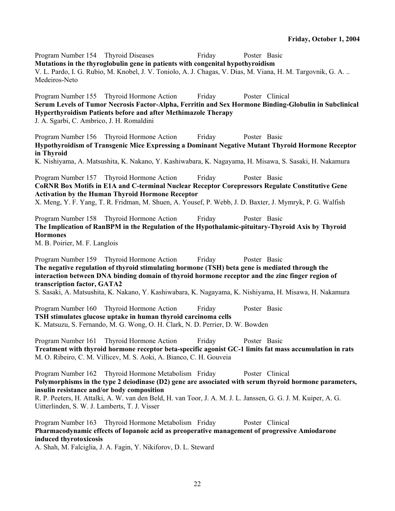Program Number 154 Thyroid Diseases Friday Poster Basic **Mutations in the thyroglobulin gene in patients with congenital hypothyroidism**  V. L. Pardo, I. G. Rubio, M. Knobel, J. V. Toniolo, A. J. Chagas, V. Dias, M. Viana, H. M. Targovnik, G. A. .. Medeiros-Neto Program Number 155 Thyroid Hormone Action Friday Poster Clinical **Serum Levels of Tumor Necrosis Factor-Alpha, Ferritin and Sex Hormone Binding-Globulin in Subclinical Hyperthyroidism Patients before and after Methimazole Therapy**  J. A. Sgarbi, C. Ambrico, J. H. Romaldini Program Number 156 Thyroid Hormone Action Friday Poster Basic **Hypothyroidism of Transgenic Mice Expressing a Dominant Negative Mutant Thyroid Hormone Receptor in Thyroid**  K. Nishiyama, A. Matsushita, K. Nakano, Y. Kashiwabara, K. Nagayama, H. Misawa, S. Sasaki, H. Nakamura Program Number 157 Thyroid Hormone Action Friday Poster Basic **CoRNR Box Motifs in E1A and C-terminal Nuclear Receptor Corepressors Regulate Constitutive Gene Activation by the Human Thyroid Hormone Receptor**  X. Meng, Y. F. Yang, T. R. Fridman, M. Shuen, A. Yousef, P. Webb, J. D. Baxter, J. Mymryk, P. G. Walfish Program Number 158 Thyroid Hormone Action Friday Poster Basic **The Implication of RanBPM in the Regulation of the Hypothalamic-pituitary-Thyroid Axis by Thyroid Hormones**  M. B. Poirier, M. F. Langlois Program Number 159 Thyroid Hormone Action Friday Poster Basic **The negative regulation of thyroid stimulating hormone (TSH) beta gene is mediated through the interaction between DNA binding domain of thyroid hormone receptor and the zinc finger region of transcription factor, GATA2**  S. Sasaki, A. Matsushita, K. Nakano, Y. Kashiwabara, K. Nagayama, K. Nishiyama, H. Misawa, H. Nakamura Program Number 160 Thyroid Hormone Action Friday Poster Basic **TSH stimulates glucose uptake in human thyroid carcinoma cells**  K. Matsuzu, S. Fernando, M. G. Wong, O. H. Clark, N. D. Perrier, D. W. Bowden Program Number 161 Thyroid Hormone Action Friday Poster Basic **Treatment with thyroid hormone receptor beta-specific agonist GC-1 limits fat mass accumulation in rats**  M. O. Ribeiro, C. M. Villicev, M. S. Aoki, A. Bianco, C. H. Gouveia Program Number 162 Thyroid Hormone Metabolism Friday Poster Clinical **Polymorphisms in the type 2 deiodinase (D2) gene are associated with serum thyroid hormone parameters, insulin resistance and/or body composition**  R. P. Peeters, H. Attalki, A. W. van den Beld, H. van Toor, J. A. M. J. L. Janssen, G. G. J. M. Kuiper, A. G. Uitterlinden, S. W. J. Lamberts, T. J. Visser Program Number 163 Thyroid Hormone Metabolism Friday Poster Clinical **Pharmacodynamic effects of Iopanoic acid as preoperative management of progressive Amiodarone induced thyrotoxicosis**  A. Shah, M. Falciglia, J. A. Fagin, Y. Nikiforov, D. L. Steward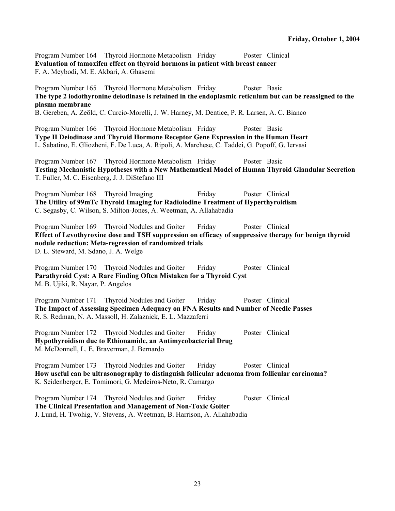Program Number 164 Thyroid Hormone Metabolism Friday Poster Clinical **Evaluation of tamoxifen effect on thyroid hormons in patient with breast cancer**  F. A. Meybodi, M. E. Akbari, A. Ghasemi

Program Number 165 Thyroid Hormone Metabolism Friday Poster Basic **The type 2 iodothyronine deiodinase is retained in the endoplasmic reticulum but can be reassigned to the plasma membrane** 

B. Gereben, A. Zeöld, C. Curcio-Morelli, J. W. Harney, M. Dentice, P. R. Larsen, A. C. Bianco

Program Number 166 Thyroid Hormone Metabolism Friday Poster Basic **Type II Deiodinase and Thyroid Hormone Receptor Gene Expression in the Human Heart**  L. Sabatino, E. Gliozheni, F. De Luca, A. Ripoli, A. Marchese, C. Taddei, G. Popoff, G. Iervasi

Program Number 167 Thyroid Hormone Metabolism Friday Poster Basic **Testing Mechanistic Hypotheses with a New Mathematical Model of Human Thyroid Glandular Secretion**  T. Fuller, M. C. Eisenberg, J. J. DiStefano III

Program Number 168 Thyroid Imaging Friday Poster Clinical **The Utility of 99mTc Thyroid Imaging for Radioiodine Treatment of Hyperthyroidism**  C. Segasby, C. Wilson, S. Milton-Jones, A. Weetman, A. Allahabadia

Program Number 169 Thyroid Nodules and Goiter Friday Poster Clinical **Effect of Levothyroxine dose and TSH suppression on efficacy of suppressive therapy for benign thyroid nodule reduction: Meta-regression of randomized trials**  D. L. Steward, M. Sdano, J. A. Welge

Program Number 170 Thyroid Nodules and Goiter Friday Poster Clinical **Parathyroid Cyst: A Rare Finding Often Mistaken for a Thyroid Cyst**  M. B. Ujiki, R. Nayar, P. Angelos

Program Number 171 Thyroid Nodules and Goiter Friday Poster Clinical **The Impact of Assessing Specimen Adequacy on FNA Results and Number of Needle Passes**  R. S. Redman, N. A. Massoll, H. Zalaznick, E. L. Mazzaferri

Program Number 172 Thyroid Nodules and Goiter Friday Poster Clinical **Hypothyroidism due to Ethionamide, an Antimycobacterial Drug**  M. McDonnell, L. E. Braverman, J. Bernardo

Program Number 173 Thyroid Nodules and Goiter Friday Poster Clinical **How useful can be ultrasonography to distinguish follicular adenoma from follicular carcinoma?**  K. Seidenberger, E. Tomimori, G. Medeiros-Neto, R. Camargo

Program Number 174 Thyroid Nodules and Goiter Friday Poster Clinical **The Clinical Presentation and Management of Non-Toxic Goiter**  J. Lund, H. Twohig, V. Stevens, A. Weetman, B. Harrison, A. Allahabadia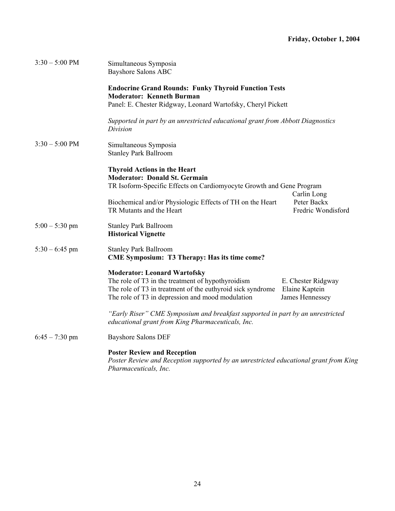| $3:30 - 5:00$ PM | Simultaneous Symposia<br><b>Bayshore Salons ABC</b>                                                                                                                                                                                                                   |  |  |
|------------------|-----------------------------------------------------------------------------------------------------------------------------------------------------------------------------------------------------------------------------------------------------------------------|--|--|
|                  | <b>Endocrine Grand Rounds: Funky Thyroid Function Tests</b><br><b>Moderator: Kenneth Burman</b>                                                                                                                                                                       |  |  |
|                  | Panel: E. Chester Ridgway, Leonard Wartofsky, Cheryl Pickett                                                                                                                                                                                                          |  |  |
|                  | Supported in part by an unrestricted educational grant from Abbott Diagnostics<br>Division                                                                                                                                                                            |  |  |
| $3:30 - 5:00$ PM | Simultaneous Symposia<br><b>Stanley Park Ballroom</b>                                                                                                                                                                                                                 |  |  |
|                  | <b>Thyroid Actions in the Heart</b><br><b>Moderator: Donald St. Germain</b><br>TR Isoform-Specific Effects on Cardiomyocyte Growth and Gene Program                                                                                                                   |  |  |
|                  | Carlin Long<br>Peter Backx<br>Biochemical and/or Physiologic Effects of TH on the Heart<br>TR Mutants and the Heart<br>Fredric Wondisford                                                                                                                             |  |  |
| $5:00 - 5:30$ pm | <b>Stanley Park Ballroom</b><br><b>Historical Vignette</b>                                                                                                                                                                                                            |  |  |
| $5:30 - 6:45$ pm | <b>Stanley Park Ballroom</b><br><b>CME Symposium: T3 Therapy: Has its time come?</b>                                                                                                                                                                                  |  |  |
|                  | <b>Moderator: Leonard Wartofsky</b><br>The role of T3 in the treatment of hypothyroidism<br>E. Chester Ridgway<br>The role of T3 in treatment of the euthyroid sick syndrome<br>Elaine Kaptein<br>The role of T3 in depression and mood modulation<br>James Hennessey |  |  |
|                  | "Early Riser" CME Symposium and breakfast supported in part by an unrestricted<br>educational grant from King Pharmaceuticals, Inc.                                                                                                                                   |  |  |
| $6:45 - 7:30$ pm | <b>Bayshore Salons DEF</b>                                                                                                                                                                                                                                            |  |  |
|                  | <b>Poster Review and Reception</b><br>Poster Review and Reception supported by an unrestricted educational grant from King<br>Pharmaceuticals, Inc.                                                                                                                   |  |  |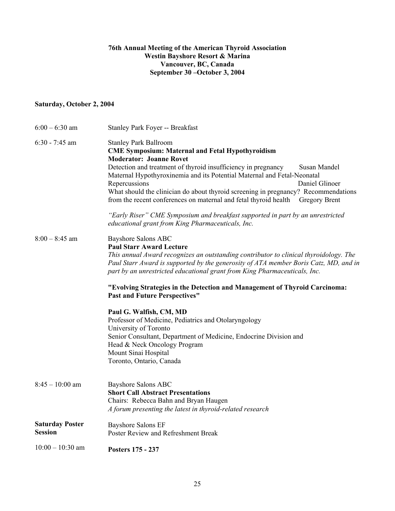## **76th Annual Meeting of the American Thyroid Association Westin Bayshore Resort & Marina Vancouver, BC, Canada September 30 –October 3, 2004**

## **Saturday, October 2, 2004**

| $6:00 - 6:30$ am                         | <b>Stanley Park Foyer -- Breakfast</b>                                                                                                                                                                                                                                                                                                                                                                                                                                                                                                                                                                                                                   |  |
|------------------------------------------|----------------------------------------------------------------------------------------------------------------------------------------------------------------------------------------------------------------------------------------------------------------------------------------------------------------------------------------------------------------------------------------------------------------------------------------------------------------------------------------------------------------------------------------------------------------------------------------------------------------------------------------------------------|--|
| $6:30 - 7:45$ am                         | <b>Stanley Park Ballroom</b><br><b>CME Symposium: Maternal and Fetal Hypothyroidism</b><br><b>Moderator: Joanne Rovet</b><br>Detection and treatment of thyroid insufficiency in pregnancy<br><b>Susan Mandel</b><br>Maternal Hypothyroxinemia and its Potential Maternal and Fetal-Neonatal<br>Daniel Glinoer<br>Repercussions<br>What should the clinician do about thyroid screening in pregnancy? Recommendations<br>from the recent conferences on maternal and fetal thyroid health<br><b>Gregory Brent</b><br>"Early Riser" CME Symposium and breakfast supported in part by an unrestricted<br>educational grant from King Pharmaceuticals, Inc. |  |
| $8:00 - 8:45$ am                         | <b>Bayshore Salons ABC</b><br><b>Paul Starr Award Lecture</b><br>This annual Award recognizes an outstanding contributor to clinical thyroidology. The<br>Paul Starr Award is supported by the generosity of ATA member Boris Catz, MD, and in<br>part by an unrestricted educational grant from King Pharmaceuticals, Inc.<br>"Evolving Strategies in the Detection and Management of Thyroid Carcinoma:<br><b>Past and Future Perspectives"</b>                                                                                                                                                                                                        |  |
|                                          | Paul G. Walfish, CM, MD<br>Professor of Medicine, Pediatrics and Otolaryngology<br>University of Toronto<br>Senior Consultant, Department of Medicine, Endocrine Division and<br>Head & Neck Oncology Program<br>Mount Sinai Hospital<br>Toronto, Ontario, Canada                                                                                                                                                                                                                                                                                                                                                                                        |  |
| $8:45-10:00$ am                          | <b>Bayshore Salons ABC</b><br><b>Short Call Abstract Presentations</b><br>Chairs: Rebecca Bahn and Bryan Haugen<br>A forum presenting the latest in thyroid-related research                                                                                                                                                                                                                                                                                                                                                                                                                                                                             |  |
| <b>Saturday Poster</b><br><b>Session</b> | <b>Bayshore Salons EF</b><br>Poster Review and Refreshment Break                                                                                                                                                                                                                                                                                                                                                                                                                                                                                                                                                                                         |  |
| $10:00 - 10:30$ am                       | Posters 175 - 237                                                                                                                                                                                                                                                                                                                                                                                                                                                                                                                                                                                                                                        |  |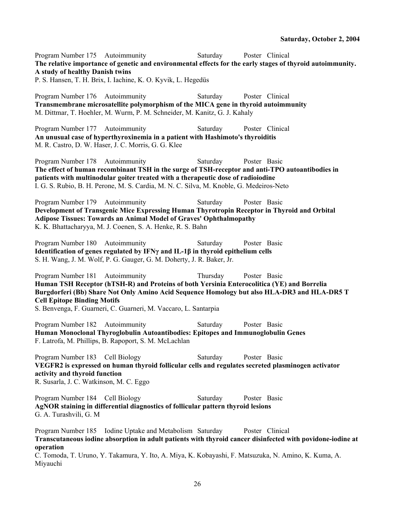Program Number 175 Autoimmunity Saturday Poster Clinical **The relative importance of genetic and environmental effects for the early stages of thyroid autoimmunity. A study of healthy Danish twins**  P. S. Hansen, T. H. Brix, I. Iachine, K. O. Kyvik, L. Hegedüs Program Number 176 Autoimmunity Saturday Poster Clinical **Transmembrane microsatellite polymorphism of the MICA gene in thyroid autoimmunity**  M. Dittmar, T. Hoehler, M. Wurm, P. M. Schneider, M. Kanitz, G. J. Kahaly Program Number 177 Autoimmunity Saturday Poster Clinical **An unusual case of hyperthyroxinemia in a patient with Hashimoto's thyroiditis**  M. R. Castro, D. W. Haser, J. C. Morris, G. G. Klee Program Number 178 Autoimmunity Saturday Poster Basic **The effect of human recombinant TSH in the surge of TSH-receptor and anti-TPO autoantibodies in patients with multinodular goiter treated with a therapeutic dose of radioiodine**  I. G. S. Rubio, B. H. Perone, M. S. Cardia, M. N. C. Silva, M. Knoble, G. Medeiros-Neto Program Number 179 Autoimmunity Saturday Poster Basic **Development of Transgenic Mice Expressing Human Thyrotropin Receptor in Thyroid and Orbital Adipose Tissues: Towards an Animal Model of Graves' Ophthalmopathy**  K. K. Bhattacharyya, M. J. Coenen, S. A. Henke, R. S. Bahn Program Number 180 Autoimmunity Saturday Poster Basic **Identification of genes regulated by IFNγ and IL-1β in thyroid epithelium cells**  S. H. Wang, J. M. Wolf, P. G. Gauger, G. M. Doherty, J. R. Baker, Jr. Program Number 181 Autoimmunity Thursday Poster Basic **Human TSH Receptor (hTSH-R) and Proteins of both Yersinia Enterocolitica (YE) and Borrelia Burgdorferi (Bb) Share Not Only Amino Acid Sequence Homology but also HLA-DR3 and HLA-DR5 T Cell Epitope Binding Motifs**  S. Benvenga, F. Guarneri, C. Guarneri, M. Vaccaro, L. Santarpia Program Number 182 Autoimmunity Saturday Poster Basic **Human Monoclonal Thyroglobulin Autoantibodies: Epitopes and Immunoglobulin Genes**  F. Latrofa, M. Phillips, B. Rapoport, S. M. McLachlan Program Number 183 Cell Biology Saturday Poster Basic **VEGFR2 is expressed on human thyroid follicular cells and regulates secreted plasminogen activator activity and thyroid function**  R. Susarla, J. C. Watkinson, M. C. Eggo Program Number 184 Cell Biology Saturday Poster Basic **AgNOR staining in differential diagnostics of follicular pattern thyroid lesions**  G. A. Turashvili, G. M Program Number 185 Iodine Uptake and Metabolism Saturday Poster Clinical **Transcutaneous iodine absorption in adult patients with thyroid cancer disinfected with povidone-iodine at operation** 

C. Tomoda, T. Uruno, Y. Takamura, Y. Ito, A. Miya, K. Kobayashi, F. Matsuzuka, N. Amino, K. Kuma, A. Miyauchi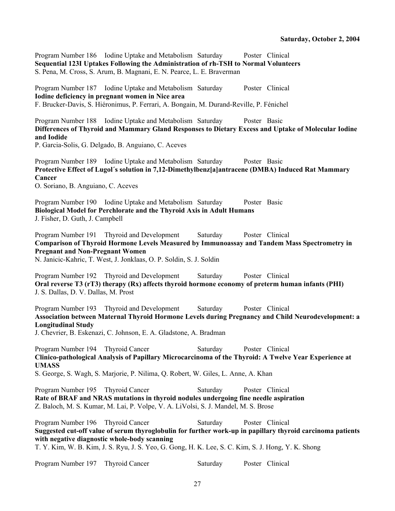Program Number 186 Iodine Uptake and Metabolism Saturday Poster Clinical **Sequential 123I Uptakes Following the Administration of rh-TSH to Normal Volunteers**  S. Pena, M. Cross, S. Arum, B. Magnani, E. N. Pearce, L. E. Braverman

Program Number 187 Iodine Uptake and Metabolism Saturday Poster Clinical **Iodine deficiency in pregnant women in Nice area**  F. Brucker-Davis, S. Hiéronimus, P. Ferrari, A. Bongain, M. Durand-Reville, P. Fénichel

Program Number 188 Iodine Uptake and Metabolism Saturday Poster Basic **Differences of Thyroid and Mammary Gland Responses to Dietary Excess and Uptake of Molecular Iodine and Iodide** 

P. Garcia-Solis, G. Delgado, B. Anguiano, C. Aceves

Program Number 189 Iodine Uptake and Metabolism Saturday Poster Basic **Protective Effect of Lugol´s solution in 7,12-Dimethylbenz[a]antracene (DMBA) Induced Rat Mammary Cancer** 

O. Soriano, B. Anguiano, C. Aceves

Program Number 190 Iodine Uptake and Metabolism Saturday Poster Basic **Biological Model for Perchlorate and the Thyroid Axis in Adult Humans**  J. Fisher, D. Guth, J. Campbell

Program Number 191 Thyroid and Development Saturday Poster Clinical **Comparison of Thyroid Hormone Levels Measured by Immunoassay and Tandem Mass Spectrometry in Pregnant and Non-Pregnant Women** 

N. Janicic-Kahric, T. West, J. Jonklaas, O. P. Soldin, S. J. Soldin

Program Number 192 Thyroid and Development Saturday Poster Clinical **Oral reverse T3 (rT3) therapy (Rx) affects thyroid hormone economy of preterm human infants (PHI)**  J. S. Dallas, D. V. Dallas, M. Prost

Program Number 193 Thyroid and Development Saturday Poster Clinical **Association between Maternal Thyroid Hormone Levels during Pregnancy and Child Neurodevelopment: a Longitudinal Study** 

J. Chevrier, B. Eskenazi, C. Johnson, E. A. Gladstone, A. Bradman

Program Number 194 Thyroid Cancer Saturday Poster Clinical **Clinico-pathological Analysis of Papillary Microcarcinoma of the Thyroid: A Twelve Year Experience at UMASS** 

S. George, S. Wagh, S. Marjorie, P. Nilima, Q. Robert, W. Giles, L. Anne, A. Khan

Program Number 195 Thyroid Cancer Saturday Poster Clinical **Rate of BRAF and NRAS mutations in thyroid nodules undergoing fine needle aspiration**  Z. Baloch, M. S. Kumar, M. Lai, P. Volpe, V. A. LiVolsi, S. J. Mandel, M. S. Brose

Program Number 196 Thyroid Cancer Saturday Poster Clinical **Suggested cut-off value of serum thyroglobulin for further work-up in papillary thyroid carcinoma patients with negative diagnostic whole-body scanning**  T. Y. Kim, W. B. Kim, J. S. Ryu, J. S. Yeo, G. Gong, H. K. Lee, S. C. Kim, S. J. Hong, Y. K. Shong

Program Number 197 Thyroid Cancer Saturday Poster Clinical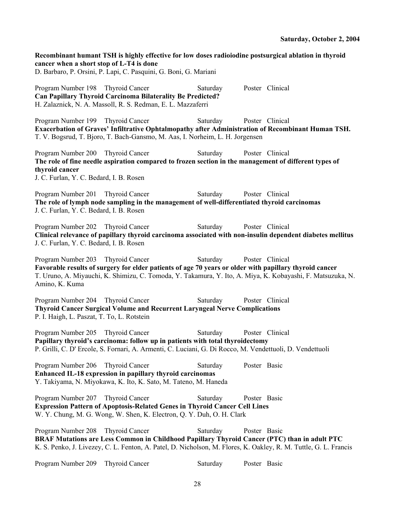**Recombinant humant TSH is highly effective for low doses radioiodine postsurgical ablation in thyroid cancer when a short stop of L-T4 is done**  D. Barbaro, P. Orsini, P. Lapi, C. Pasquini, G. Boni, G. Mariani Program Number 198 Thyroid Cancer Saturday Poster Clinical **Can Papillary Thyroid Carcinoma Bilaterality Be Predicted?**  H. Zalaznick, N. A. Massoll, R. S. Redman, E. L. Mazzaferri Program Number 199 Thyroid Cancer Saturday Poster Clinical **Exacerbation of Graves' Infiltrative Ophtalmopathy after Administration of Recombinant Human TSH.**  T. V. Bogsrud, T. Bjoro, T. Bach-Gansmo, M. Aas, I. Norheim, L. H. Jorgensen Program Number 200 Thyroid Cancer Saturday Poster Clinical **The role of fine needle aspiration compared to frozen section in the management of different types of thyroid cancer**  J. C. Furlan, Y. C. Bedard, I. B. Rosen Program Number 201 Thyroid Cancer Saturday Poster Clinical **The role of lymph node sampling in the management of well-differentiated thyroid carcinomas**  J. C. Furlan, Y. C. Bedard, I. B. Rosen Program Number 202 Thyroid Cancer Saturday Poster Clinical **Clinical relevance of papillary thyroid carcinoma associated with non-insulin dependent diabetes mellitus**  J. C. Furlan, Y. C. Bedard, I. B. Rosen Program Number 203 Thyroid Cancer Saturday Poster Clinical **Favorable results of surgery for elder patients of age 70 years or older with papillary thyroid cancer**  T. Uruno, A. Miyauchi, K. Shimizu, C. Tomoda, Y. Takamura, Y. Ito, A. Miya, K. Kobayashi, F. Matsuzuka, N. Amino, K. Kuma Program Number 204 Thyroid Cancer Saturday Poster Clinical **Thyroid Cancer Surgical Volume and Recurrent Laryngeal Nerve Complications**  P. I. Haigh, L. Paszat, T. To, L. Rotstein Program Number 205 Thyroid Cancer Saturday Poster Clinical **Papillary thyroid's carcinoma: follow up in patients with total thyroidectomy**  P. Grilli, C. D' Ercole, S. Fornari, A. Armenti, C. Luciani, G. Di Rocco, M. Vendettuoli, D. Vendettuoli Program Number 206 Thyroid Cancer Saturday Poster Basic **Enhanced IL-18 expression in papillary thyroid carcinomas**  Y. Takiyama, N. Miyokawa, K. Ito, K. Sato, M. Tateno, M. Haneda Program Number 207 Thyroid Cancer Saturday Poster Basic **Expression Pattern of Apoptosis-Related Genes in Thyroid Cancer Cell Lines**  W. Y. Chung, M. G. Wong, W. Shen, K. Electron, Q. Y. Duh, O. H. Clark Program Number 208 Thyroid Cancer Saturday Poster Basic **BRAF Mutations are Less Common in Childhood Papillary Thyroid Cancer (PTC) than in adult PTC**  K. S. Penko, J. Livezey, C. L. Fenton, A. Patel, D. Nicholson, M. Flores, K. Oakley, R. M. Tuttle, G. L. Francis Program Number 209 Thyroid Cancer Saturday Poster Basic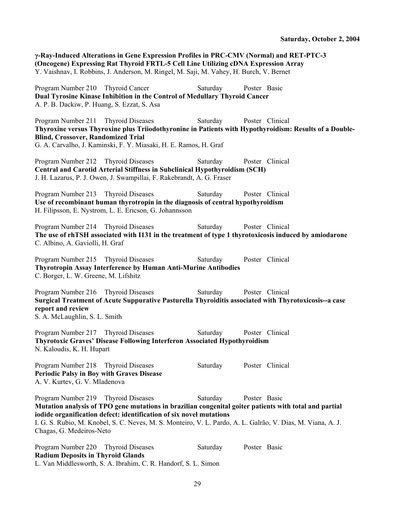**γ-Ray-Induced Alterations in Gene Expression Profiles in PRC-CMV (Normal) and RET-PTC-3 (Oncogene) Expressing Rat Thyroid FRTL-5 Cell Line Utilizing cDNA Expression Array**  Y. Vaishnav, I. Robbins, J. Anderson, M. Ringel, M. Saji, M. Vahey, H. Burch, V. Bernet Program Number 210 Thyroid Cancer Saturday Poster Basic **Dual Tyrosine Kinase Inhibition in the Control of Medullary Thyroid Cancer**  A. P. B. Dackiw, P. Huang, S. Ezzat, S. Asa Program Number 211 Thyroid Diseases Saturday Poster Clinical **Thyroxine versus Thyroxine plus Triiodothyronine in Patients with Hypothyroidism: Results of a Double-Blind, Crossover, Randomized Trial**  G. A. Carvalho, J. Kaminski, F. Y. Miasaki, H. E. Ramos, H. Graf Program Number 212 Thyroid Diseases Saturday Poster Clinical **Central and Carotid Arterial Stiffness in Subclinical Hypothyroidism (SCH)**  J. H. Lazarus, P. J. Owen, J. Swampillai, F. Rakebrandt, A. G. Fraser Program Number 213 Thyroid Diseases Saturday Poster Clinical **Use of recombinant human thyrotropin in the diagnosis of central hypothyroidism**  H. Filipsson, E. Nystrom, L. E. Ericson, G. Johannsson Program Number 214 Thyroid Diseases Saturday Poster Clinical **The use of rhTSH associated with I131 in the treatment of type 1 thyrotoxicosis induced by amiodarone**  C. Albino, A. Gaviolli, H. Graf Program Number 215 Thyroid Diseases Saturday Poster Clinical **Thyrotropin Assay Interference by Human Anti-Murine Antibodies**  C. Borger, L. W. Greene, M. Lifshitz Program Number 216 Thyroid Diseases Saturday Poster Clinical **Surgical Treatment of Acute Suppurative Pasturella Thyroiditis associated with Thyrotoxicosis--a case report and review**  S. A. McLaughlin, S. L. Smith Program Number 217 Thyroid Diseases Saturday Poster Clinical **Thyrotoxic Graves' Disease Following Interferon Associated Hypothyroidism**  N. Kaloudis, K. H. Hupart Program Number 218 Thyroid Diseases Saturday Poster Clinical **Periodic Palsy in Boy with Graves Disease**  A. V. Kurtev, G. V. Mladenova Program Number 219 Thyroid Diseases Saturday Poster Basic **Mutation analysis of TPO gene mutations in brazilian congenital goiter patients with total and partial iodide organification defect: identification of six novel mutations**  I. G. S. Rubio, M. Knobel, S. C. Neves, M. S. Monteiro, V. L. Pardo, A. L. Galrão, V. Dias, M. Viana, A. J. Chagas, G. Medeiros-Neto Program Number 220 Thyroid Diseases Saturday Poster Basic **Radium Deposits in Thyroid Glands** 

L. Van Middlesworth, S. A. Ibrahim, C. R. Handorf, S. L. Simon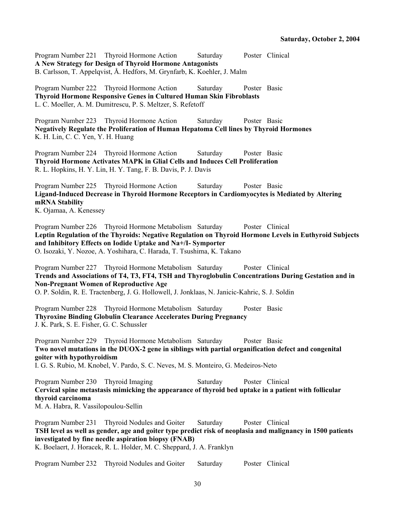Program Number 221 Thyroid Hormone Action Saturday Poster Clinical **A New Strategy for Design of Thyroid Hormone Antagonists**  B. Carlsson, T. Appelqvist, Å. Hedfors, M. Grynfarb, K. Koehler, J. Malm

Program Number 222 Thyroid Hormone Action Saturday Poster Basic **Thyroid Hormone Responsive Genes in Cultured Human Skin Fibroblasts**  L. C. Moeller, A. M. Dumitrescu, P. S. Meltzer, S. Refetoff

Program Number 223 Thyroid Hormone Action Saturday Poster Basic **Negatively Regulate the Proliferation of Human Hepatoma Cell lines by Thyroid Hormones**  K. H. Lin, C. C. Yen, Y. H. Huang

Program Number 224 Thyroid Hormone Action Saturday Poster Basic **Thyroid Hormone Activates MAPK in Glial Cells and Induces Cell Proliferation**  R. L. Hopkins, H. Y. Lin, H. Y. Tang, F. B. Davis, P. J. Davis

Program Number 225 Thyroid Hormone Action Saturday Poster Basic **Ligand-Induced Decrease in Thyroid Hormone Receptors in Cardiomyocytes is Mediated by Altering mRNA Stability**  K. Ojamaa, A. Kenessey

Program Number 226 Thyroid Hormone Metabolism Saturday Poster Clinical **Leptin Regulation of the Thyroids: Negative Regulation on Thyroid Hormone Levels in Euthyroid Subjects and Inhibitory Effects on Iodide Uptake and Na+/I- Symporter**  O. Isozaki, Y. Nozoe, A. Yoshihara, C. Harada, T. Tsushima, K. Takano

Program Number 227 Thyroid Hormone Metabolism Saturday Poster Clinical **Trends and Associations of T4, T3, FT4, TSH and Thyroglobulin Concentrations During Gestation and in Non-Pregnant Women of Reproductive Age**  O. P. Soldin, R. E. Tractenberg, J. G. Hollowell, J. Jonklaas, N. Janicic-Kahric, S. J. Soldin

Program Number 228 Thyroid Hormone Metabolism Saturday Poster Basic **Thyroxine Binding Globulin Clearance Accelerates During Pregnancy**  J. K. Park, S. E. Fisher, G. C. Schussler

Program Number 229 Thyroid Hormone Metabolism Saturday Poster Basic **Two novel mutations in the DUOX-2 gene in siblings with partial organification defect and congenital goiter with hypothyroidism** 

I. G. S. Rubio, M. Knobel, V. Pardo, S. C. Neves, M. S. Monteiro, G. Medeiros-Neto

Program Number 230 Thyroid Imaging Saturday Poster Clinical **Cervical spine metastasis mimicking the appearance of thyroid bed uptake in a patient with follicular thyroid carcinoma** 

M. A. Habra, R. Vassilopoulou-Sellin

Program Number 231 Thyroid Nodules and Goiter Saturday Poster Clinical **TSH level as well as gender, age and goiter type predict risk of neoplasia and malignancy in 1500 patients investigated by fine needle aspiration biopsy (FNAB)**  K. Boelaert, J. Horacek, R. L. Holder, M. C. Sheppard, J. A. Franklyn

Program Number 232 Thyroid Nodules and Goiter Saturday Poster Clinical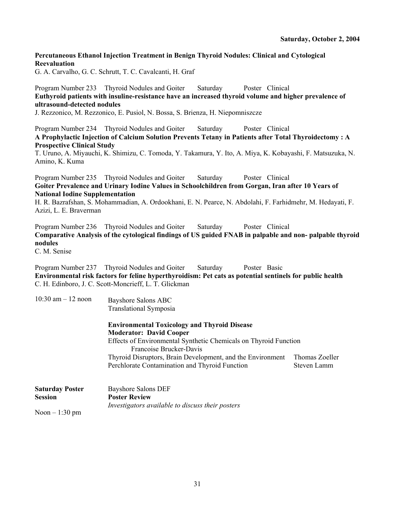## **Percutaneous Ethanol Injection Treatment in Benign Thyroid Nodules: Clinical and Cytological Reevaluation**

G. A. Carvalho, G. C. Schrutt, T. C. Cavalcanti, H. Graf

## Program Number 233 Thyroid Nodules and Goiter Saturday Poster Clinical **Euthyroid patients with insuline-resistance have an increased thyroid volume and higher prevalence of ultrasound-detected nodules**

J. Rezzonico, M. Rezzonico, E. Pusiol, N. Bossa, S. Brienza, H. Niepomniszcze

Program Number 234 Thyroid Nodules and Goiter Saturday Poster Clinical **A Prophylactic Injection of Calcium Solution Prevents Tetany in Patients after Total Thyroidectomy : A Prospective Clinical Study** 

T. Uruno, A. Miyauchi, K. Shimizu, C. Tomoda, Y. Takamura, Y. Ito, A. Miya, K. Kobayashi, F. Matsuzuka, N. Amino, K. Kuma

Program Number 235 Thyroid Nodules and Goiter Saturday Poster Clinical **Goiter Prevalence and Urinary Iodine Values in Schoolchildren from Gorgan, Iran after 10 Years of National Iodine Supplementation** 

H. R. Bazrafshan, S. Mohammadian, A. Ordookhani, E. N. Pearce, N. Abdolahi, F. Farhidmehr, M. Hedayati, F. Azizi, L. E. Braverman

Program Number 236 Thyroid Nodules and Goiter Saturday Poster Clinical **Comparative Analysis of the cytological findings of US guided FNAB in palpable and non- palpable thyroid nodules** 

C. M. Senise

Program Number 237 Thyroid Nodules and Goiter Saturday Poster Basic **Environmental risk factors for feline hyperthyroidism: Pet cats as potential sentinels for public health**  C. H. Edinboro, J. C. Scott-Moncrieff, L. T. Glickman

| $10:30$ am $-12$ noon  | Bayshore Salons ABC<br><b>Translational Symposia</b><br><b>Environmental Toxicology and Thyroid Disease</b><br><b>Moderator: David Cooper</b><br>Effects of Environmental Synthetic Chemicals on Thyroid Function<br>Francoise Brucker-Davis |                |  |  |
|------------------------|----------------------------------------------------------------------------------------------------------------------------------------------------------------------------------------------------------------------------------------------|----------------|--|--|
|                        |                                                                                                                                                                                                                                              |                |  |  |
|                        |                                                                                                                                                                                                                                              |                |  |  |
|                        |                                                                                                                                                                                                                                              |                |  |  |
|                        | Thyroid Disruptors, Brain Development, and the Environment                                                                                                                                                                                   | Thomas Zoeller |  |  |
|                        | Perchlorate Contamination and Thyroid Function                                                                                                                                                                                               | Steven Lamm    |  |  |
| <b>Saturday Poster</b> | <b>Bayshore Salons DEF</b>                                                                                                                                                                                                                   |                |  |  |
| <b>Session</b>         | <b>Poster Review</b>                                                                                                                                                                                                                         |                |  |  |
|                        | Investigators available to discuss their posters                                                                                                                                                                                             |                |  |  |

Noon  $-1:30$  pm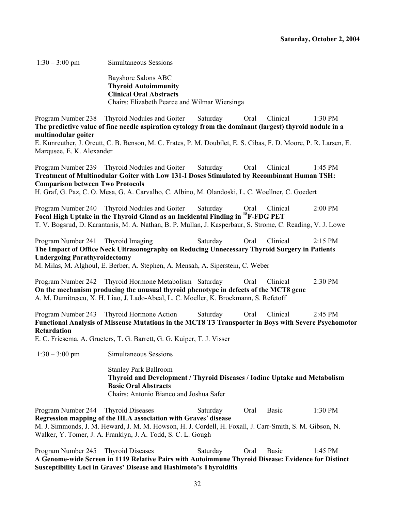1:30 – 3:00 pm Simultaneous Sessions

Bayshore Salons ABC **Thyroid Autoimmunity Clinical Oral Abstracts**  Chairs: Elizabeth Pearce and Wilmar Wiersinga

Program Number 238 Thyroid Nodules and Goiter Saturday Oral Clinical 1:30 PM **The predictive value of fine needle aspiration cytology from the dominant (largest) thyroid nodule in a multinodular goiter** 

E. Kunreuther, J. Orcutt, C. B. Benson, M. C. Frates, P. M. Doubilet, E. S. Cibas, F. D. Moore, P. R. Larsen, E. Marqusee, E. K. Alexander

Program Number 239 Thyroid Nodules and Goiter Saturday Oral Clinical 1:45 PM **Treatment of Multinodular Goiter with Low 131-I Doses Stimulated by Recombinant Human TSH: Comparison between Two Protocols** 

H. Graf, G. Paz, C. O. Mesa, G. A. Carvalho, C. Albino, M. Olandoski, L. C. Woellner, C. Goedert

Program Number 240 Thyroid Nodules and Goiter Saturday Oral Clinical 2:00 PM **Focal High Uptake in the Thyroid Gland as an Incidental Finding in 18F-FDG PET**  T. V. Bogsrud, D. Karantanis, M. A. Nathan, B. P. Mullan, J. Kasperbaur, S. Strome, C. Reading, V. J. Lowe

Program Number 241 Thyroid Imaging Saturday Oral Clinical 2:15 PM **The Impact of Office Neck Ultrasonography on Reducing Unnecessary Thyroid Surgery in Patients Undergoing Parathyroidectomy**  M. Milas, M. Alghoul, E. Berber, A. Stephen, A. Mensah, A. Siperstein, C. Weber

Program Number 242 Thyroid Hormone Metabolism Saturday Oral Clinical 2:30 PM **On the mechanism producing the unusual thyroid phenotype in defects of the MCT8 gene**  A. M. Dumitrescu, X. H. Liao, J. Lado-Abeal, L. C. Moeller, K. Brockmann, S. Refetoff

Program Number 243 Thyroid Hormone Action Saturday Oral Clinical 2:45 PM **Functional Analysis of Missense Mutations in the MCT8 T3 Transporter in Boys with Severe Psychomotor Retardation** 

E. C. Friesema, A. Grueters, T. G. Barrett, G. G. Kuiper, T. J. Visser

1:30 – 3:00 pm Simultaneous Sessions

Stanley Park Ballroom **Thyroid and Development / Thyroid Diseases / Iodine Uptake and Metabolism Basic Oral Abstracts**  Chairs: Antonio Bianco and Joshua Safer

Program Number 244 Thyroid Diseases Saturday Oral Basic 1:30 PM **Regression mapping of the HLA association with Graves′ disease**  M. J. Simmonds, J. M. Heward, J. M. M. Howson, H. J. Cordell, H. Foxall, J. Carr-Smith, S. M. Gibson, N. Walker, Y. Tomer, J. A. Franklyn, J. A. Todd, S. C. L. Gough

Program Number 245 Thyroid Diseases Saturday Oral Basic 1:45 PM **A Genome-wide Screen in 1119 Relative Pairs with Autoimmune Thyroid Disease: Evidence for Distinct Susceptibility Loci in Graves' Disease and Hashimoto's Thyroiditis**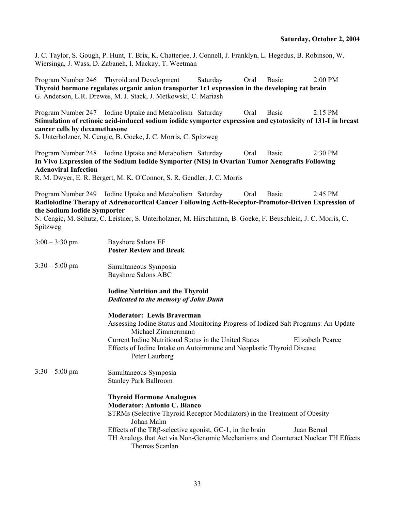J. C. Taylor, S. Gough, P. Hunt, T. Brix, K. Chatterjee, J. Connell, J. Franklyn, L. Hegedus, B. Robinson, W. Wiersinga, J. Wass, D. Zabaneh, I. Mackay, T. Weetman

Program Number 246 Thyroid and Development Saturday Oral Basic 2:00 PM **Thyroid hormone regulates organic anion transporter 1c1 expression in the developing rat brain**  G. Anderson, L.R. Drewes, M. J. Stack, J. Metkowski, C. Mariash

Program Number 247 Iodine Uptake and Metabolism Saturday Oral Basic 2:15 PM **Stimulation of retinoic acid-induced sodium iodide symporter expression and cytotoxicity of 131-I in breast cancer cells by dexamethasone** 

S. Unterholzner, N. Cengic, B. Goeke, J. C. Morris, C. Spitzweg

Program Number 248 Iodine Uptake and Metabolism Saturday Oral Basic 2:30 PM **In Vivo Expression of the Sodium Iodide Symporter (NIS) in Ovarian Tumor Xenografts Following Adenoviral Infection** 

R. M. Dwyer, E. R. Bergert, M. K. O'Connor, S. R. Gendler, J. C. Morris

Program Number 249 Iodine Uptake and Metabolism Saturday Oral Basic 2:45 PM **Radioiodine Therapy of Adrenocortical Cancer Following Acth-Receptor-Promotor-Driven Expression of the Sodium Iodide Symporter** 

N. Cengic, M. Schutz, C. Leistner, S. Unterholzner, M. Hirschmann, B. Goeke, F. Beuschlein, J. C. Morris, C. Spitzweg

| $3:00 - 3:30$ pm | <b>Bayshore Salons EF</b><br><b>Poster Review and Break</b>                                                                                                                                                                                                                                                                    |
|------------------|--------------------------------------------------------------------------------------------------------------------------------------------------------------------------------------------------------------------------------------------------------------------------------------------------------------------------------|
| $3:30 - 5:00$ pm | Simultaneous Symposia<br>Bayshore Salons ABC                                                                                                                                                                                                                                                                                   |
|                  | <b>Iodine Nutrition and the Thyroid</b><br>Dedicated to the memory of John Dunn                                                                                                                                                                                                                                                |
|                  | <b>Moderator: Lewis Braverman</b><br>Assessing Iodine Status and Monitoring Progress of Iodized Salt Programs: An Update<br>Michael Zimmermann<br>Current Iodine Nutritional Status in the United States<br><b>Elizabeth Pearce</b><br>Effects of Iodine Intake on Autoimmune and Neoplastic Thyroid Disease<br>Peter Laurberg |
| $3:30 - 5:00$ pm | Simultaneous Symposia<br><b>Stanley Park Ballroom</b><br><b>Thyroid Hormone Analogues</b><br><b>Moderator: Antonio C. Bianco</b><br>STRMs (Selective Thyroid Receptor Modulators) in the Treatment of Obesity<br>Johan Malm<br>Effects of the $TR\beta$ -selective agonist, GC-1, in the brain<br>Juan Bernal                  |
|                  | TH Analogs that Act via Non-Genomic Mechanisms and Counteract Nuclear TH Effects<br>Thomas Scanlan                                                                                                                                                                                                                             |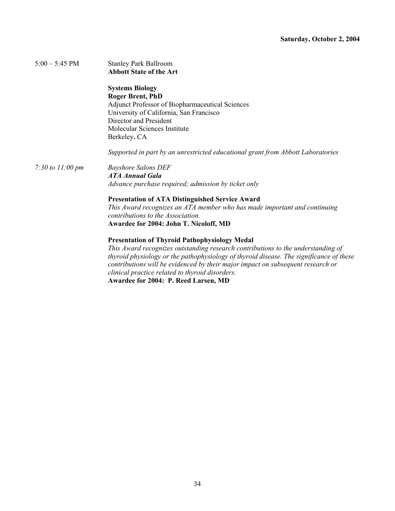| $5:00 - 5:45 \text{ PM}$     | <b>Stanley Park Ballroom</b>                                                            |
|------------------------------|-----------------------------------------------------------------------------------------|
|                              | <b>Abbott State of the Art</b>                                                          |
|                              | <b>Systems Biology</b>                                                                  |
|                              | <b>Roger Brent, PhD</b>                                                                 |
|                              | <b>Adjunct Professor of Biopharmaceutical Sciences</b>                                  |
|                              | University of California, San Francisco                                                 |
|                              | Director and President                                                                  |
|                              | Molecular Sciences Institute                                                            |
|                              | Berkeley, CA                                                                            |
|                              | Supported in part by an unrestricted educational grant from Abbott Laboratories         |
| 7:30 to $11:00 \, \text{pm}$ | <b>Bayshore Salons DEF</b>                                                              |
|                              | <b>ATA Annual Gala</b>                                                                  |
|                              | Advance purchase required; admission by ticket only                                     |
|                              | <b>Presentation of ATA Distinguished Service Award</b>                                  |
|                              | This Award recognizes an ATA member who has made important and continuing               |
|                              | contributions to the Association.                                                       |
|                              | Awardee for 2004: John T. Nicoloff, MD                                                  |
|                              | <b>Presentation of Thyroid Pathophysiology Medal</b>                                    |
|                              | This Award recognizes outstanding research contributions to the understanding of        |
|                              | thyroid physiology or the pathophysiology of thyroid disease. The significance of these |
|                              | contributions will be evidenced by their major impact on subsequent research or         |
|                              | clinical practice related to thyroid disorders.                                         |

**Awardee for 2004: P. Reed Larsen, MD**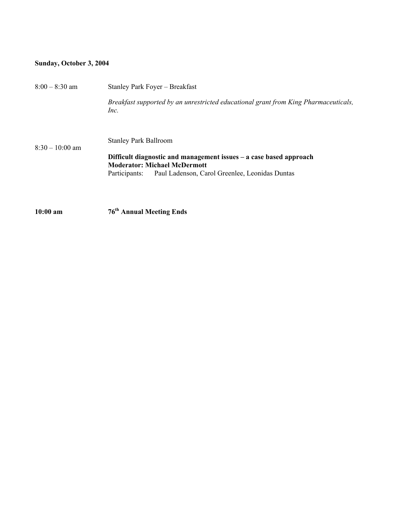## **Sunday, October 3, 2004**

| $8:00 - 8:30$ am  | Stanley Park Foyer - Breakfast                                                                              |
|-------------------|-------------------------------------------------------------------------------------------------------------|
| $8:30 - 10:00$ am | Breakfast supported by an unrestricted educational grant from King Pharmaceuticals,<br>Inc.                 |
|                   | <b>Stanley Park Ballroom</b>                                                                                |
|                   | Difficult diagnostic and management issues $-$ a case based approach<br><b>Moderator: Michael McDermott</b> |
|                   | Paul Ladenson, Carol Greenlee, Leonidas Duntas<br>Participants:                                             |
|                   |                                                                                                             |
| $10:00$ am        | 76 <sup>th</sup> Annual Meeting Ends                                                                        |